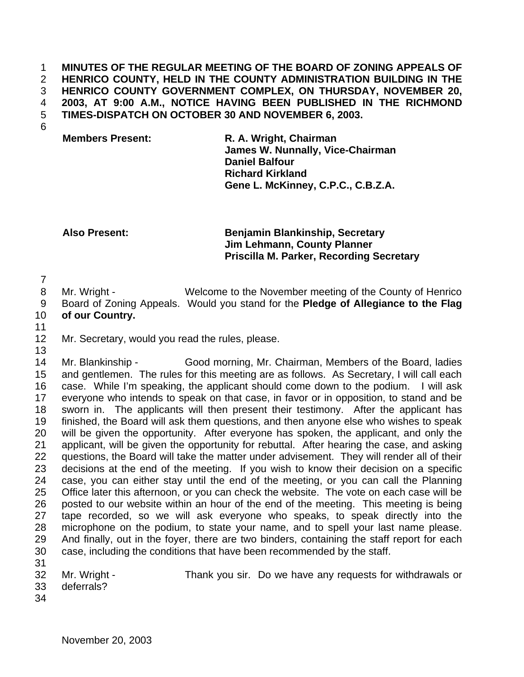**MINUTES OF THE REGULAR MEETING OF THE BOARD OF ZONING APPEALS OF HENRICO COUNTY, HELD IN THE COUNTY ADMINISTRATION BUILDING IN THE HENRICO COUNTY GOVERNMENT COMPLEX, ON THURSDAY, NOVEMBER 20, 2003, AT 9:00 A.M., NOTICE HAVING BEEN PUBLISHED IN THE RICHMOND TIMES-DISPATCH ON OCTOBER 30 AND NOVEMBER 6, 2003.**

## **Members Present: R. A. Wright, Chairman James W. Nunnally, Vice-Chairman Daniel Balfour Richard Kirkland Gene L. McKinney, C.P.C., C.B.Z.A.**

**Also Present: Benjamin Blankinship, Secretary Jim Lehmann, County Planner Priscilla M. Parker, Recording Secretary**

8 Mr. Wright - Welcome to the November meeting of the County of Henrico Board of Zoning Appeals. Would you stand for the **Pledge of Allegiance to the Flag of our Country.**

Mr. Secretary, would you read the rules, please.

 Mr. Blankinship - Good morning, Mr. Chairman, Members of the Board, ladies and gentlemen. The rules for this meeting are as follows. As Secretary, I will call each case. While I'm speaking, the applicant should come down to the podium. I will ask everyone who intends to speak on that case, in favor or in opposition, to stand and be sworn in. The applicants will then present their testimony. After the applicant has finished, the Board will ask them questions, and then anyone else who wishes to speak will be given the opportunity. After everyone has spoken, the applicant, and only the applicant, will be given the opportunity for rebuttal. After hearing the case, and asking questions, the Board will take the matter under advisement. They will render all of their decisions at the end of the meeting. If you wish to know their decision on a specific case, you can either stay until the end of the meeting, or you can call the Planning Office later this afternoon, or you can check the website. The vote on each case will be posted to our website within an hour of the end of the meeting. This meeting is being tape recorded, so we will ask everyone who speaks, to speak directly into the microphone on the podium, to state your name, and to spell your last name please. And finally, out in the foyer, there are two binders, containing the staff report for each case, including the conditions that have been recommended by the staff.

- 
- deferrals?
- Mr. Wright Thank you sir. Do we have any requests for withdrawals or
- 
-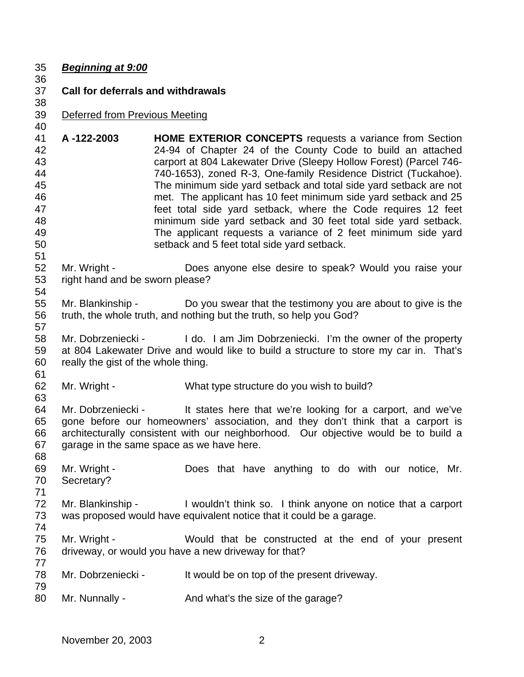| 35                                                             | <b>Beginning at 9:00</b>                        |                                                                                                                                                                                                                                                                                                                                                                                                                                                                                                                                                                                                                                                                   |  |
|----------------------------------------------------------------|-------------------------------------------------|-------------------------------------------------------------------------------------------------------------------------------------------------------------------------------------------------------------------------------------------------------------------------------------------------------------------------------------------------------------------------------------------------------------------------------------------------------------------------------------------------------------------------------------------------------------------------------------------------------------------------------------------------------------------|--|
| 36<br>37<br>38                                                 | <b>Call for deferrals and withdrawals</b>       |                                                                                                                                                                                                                                                                                                                                                                                                                                                                                                                                                                                                                                                                   |  |
| 39<br>40                                                       | Deferred from Previous Meeting                  |                                                                                                                                                                                                                                                                                                                                                                                                                                                                                                                                                                                                                                                                   |  |
| 41<br>42<br>43<br>44<br>45<br>46<br>47<br>48<br>49<br>50<br>51 | A-122-2003                                      | <b>HOME EXTERIOR CONCEPTS</b> requests a variance from Section<br>24-94 of Chapter 24 of the County Code to build an attached<br>carport at 804 Lakewater Drive (Sleepy Hollow Forest) (Parcel 746-<br>740-1653), zoned R-3, One-family Residence District (Tuckahoe).<br>The minimum side yard setback and total side yard setback are not<br>met. The applicant has 10 feet minimum side yard setback and 25<br>feet total side yard setback, where the Code requires 12 feet<br>minimum side yard setback and 30 feet total side yard setback.<br>The applicant requests a variance of 2 feet minimum side yard<br>setback and 5 feet total side yard setback. |  |
| 52<br>53<br>54                                                 | Mr. Wright -<br>right hand and be sworn please? | Does anyone else desire to speak? Would you raise your                                                                                                                                                                                                                                                                                                                                                                                                                                                                                                                                                                                                            |  |
| 55<br>56<br>57                                                 |                                                 | Mr. Blankinship - Do you swear that the testimony you are about to give is the<br>truth, the whole truth, and nothing but the truth, so help you God?                                                                                                                                                                                                                                                                                                                                                                                                                                                                                                             |  |
| 58<br>59<br>60<br>61                                           | really the gist of the whole thing.             | Mr. Dobrzeniecki - I do. I am Jim Dobrzeniecki. I'm the owner of the property<br>at 804 Lakewater Drive and would like to build a structure to store my car in. That's                                                                                                                                                                                                                                                                                                                                                                                                                                                                                            |  |
| 62<br>63                                                       | Mr. Wright -                                    | What type structure do you wish to build?                                                                                                                                                                                                                                                                                                                                                                                                                                                                                                                                                                                                                         |  |
| 64<br>65<br>66<br>67<br>68                                     |                                                 | Mr. Dobrzeniecki - It states here that we're looking for a carport, and we've<br>gone before our homeowners' association, and they don't think that a carport is<br>architecturally consistent with our neighborhood. Our objective would be to build a<br>garage in the same space as we have here.                                                                                                                                                                                                                                                                                                                                                              |  |
| 69<br>70<br>71                                                 | Mr. Wright -<br>Secretary?                      | Does that have anything to do with our notice, Mr.                                                                                                                                                                                                                                                                                                                                                                                                                                                                                                                                                                                                                |  |
| 72<br>73<br>74                                                 | Mr. Blankinship -                               | I wouldn't think so. I think anyone on notice that a carport<br>was proposed would have equivalent notice that it could be a garage.                                                                                                                                                                                                                                                                                                                                                                                                                                                                                                                              |  |
| 75<br>76<br>77                                                 | Mr. Wright -                                    | Would that be constructed at the end of your present<br>driveway, or would you have a new driveway for that?                                                                                                                                                                                                                                                                                                                                                                                                                                                                                                                                                      |  |
| 78<br>79                                                       | Mr. Dobrzeniecki -                              | It would be on top of the present driveway.                                                                                                                                                                                                                                                                                                                                                                                                                                                                                                                                                                                                                       |  |
| 80                                                             | Mr. Nunnally -                                  | And what's the size of the garage?                                                                                                                                                                                                                                                                                                                                                                                                                                                                                                                                                                                                                                |  |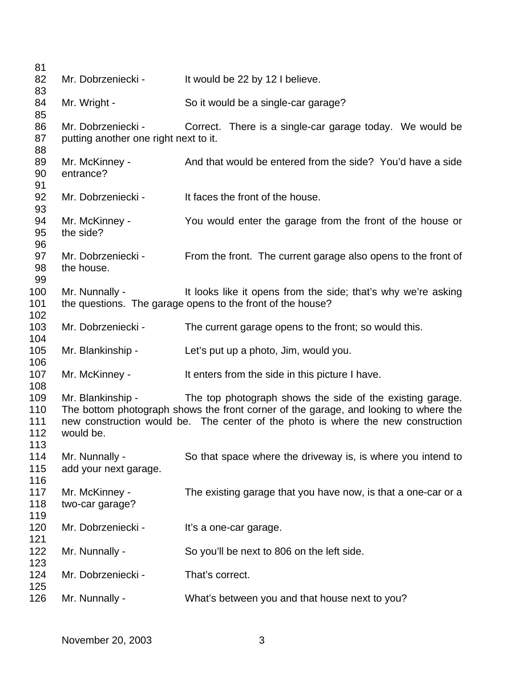| 81         |                                       |                                                                                                                             |
|------------|---------------------------------------|-----------------------------------------------------------------------------------------------------------------------------|
| 82         | Mr. Dobrzeniecki -                    | It would be 22 by 12 I believe.                                                                                             |
| 83         |                                       |                                                                                                                             |
| 84         | Mr. Wright -                          | So it would be a single-car garage?                                                                                         |
| 85         |                                       |                                                                                                                             |
| 86         | Mr. Dobrzeniecki -                    | Correct. There is a single-car garage today. We would be                                                                    |
| 87<br>88   | putting another one right next to it. |                                                                                                                             |
| 89         | Mr. McKinney -                        | And that would be entered from the side? You'd have a side                                                                  |
| 90         | entrance?                             |                                                                                                                             |
| 91         |                                       |                                                                                                                             |
| 92         | Mr. Dobrzeniecki -                    | It faces the front of the house.                                                                                            |
| 93         |                                       |                                                                                                                             |
| 94         | Mr. McKinney -                        | You would enter the garage from the front of the house or                                                                   |
| 95         | the side?                             |                                                                                                                             |
| 96         |                                       |                                                                                                                             |
| 97         | Mr. Dobrzeniecki -                    | From the front. The current garage also opens to the front of                                                               |
| 98         | the house.                            |                                                                                                                             |
| 99         |                                       |                                                                                                                             |
| 100<br>101 | Mr. Nunnally -                        | It looks like it opens from the side; that's why we're asking<br>the questions. The garage opens to the front of the house? |
| 102        |                                       |                                                                                                                             |
| 103        | Mr. Dobrzeniecki -                    | The current garage opens to the front; so would this.                                                                       |
| 104        |                                       |                                                                                                                             |
| 105        | Mr. Blankinship -                     | Let's put up a photo, Jim, would you.                                                                                       |
| 106        |                                       |                                                                                                                             |
| 107        | Mr. McKinney -                        | It enters from the side in this picture I have.                                                                             |
| 108        |                                       |                                                                                                                             |
| 109        | Mr. Blankinship -                     | The top photograph shows the side of the existing garage.                                                                   |
| 110        |                                       | The bottom photograph shows the front corner of the garage, and looking to where the                                        |
| 111        |                                       | new construction would be. The center of the photo is where the new construction                                            |
| 112<br>113 | would be.                             |                                                                                                                             |
| 114        | Mr. Nunnally -                        | So that space where the driveway is, is where you intend to                                                                 |
| 115        | add your next garage.                 |                                                                                                                             |
| 116        |                                       |                                                                                                                             |
| 117        | Mr. McKinney -                        | The existing garage that you have now, is that a one-car or a                                                               |
| 118        | two-car garage?                       |                                                                                                                             |
| 119        |                                       |                                                                                                                             |
| 120        | Mr. Dobrzeniecki -                    | It's a one-car garage.                                                                                                      |
| 121        |                                       |                                                                                                                             |
| 122        | Mr. Nunnally -                        | So you'll be next to 806 on the left side.                                                                                  |
| 123        |                                       |                                                                                                                             |
| 124        | Mr. Dobrzeniecki -                    | That's correct.                                                                                                             |
| 125<br>126 | Mr. Nunnally -                        | What's between you and that house next to you?                                                                              |
|            |                                       |                                                                                                                             |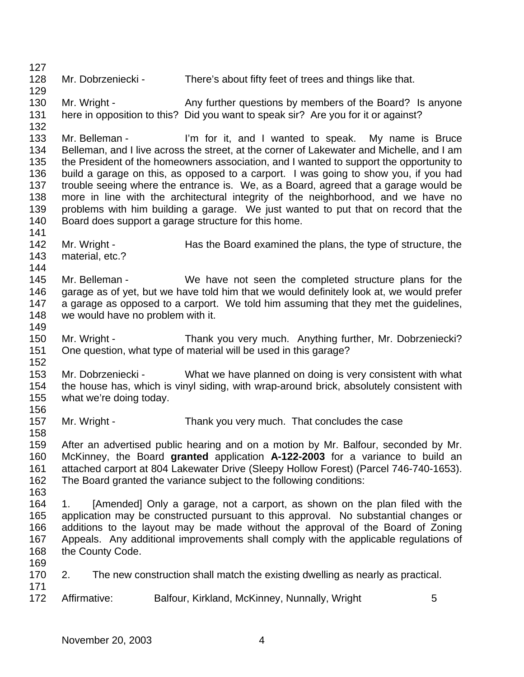Mr. Dobrzeniecki - There's about fifty feet of trees and things like that. 130 Mr. Wright - Any further questions by members of the Board? Is anyone here in opposition to this? Did you want to speak sir? Are you for it or against? Mr. Belleman - I'm for it, and I wanted to speak. My name is Bruce Belleman, and I live across the street, at the corner of Lakewater and Michelle, and I am the President of the homeowners association, and I wanted to support the opportunity to build a garage on this, as opposed to a carport. I was going to show you, if you had trouble seeing where the entrance is. We, as a Board, agreed that a garage would be more in line with the architectural integrity of the neighborhood, and we have no problems with him building a garage. We just wanted to put that on record that the Board does support a garage structure for this home. 142 Mr. Wright - Has the Board examined the plans, the type of structure, the material, etc.? Mr. Belleman - We have not seen the completed structure plans for the garage as of yet, but we have told him that we would definitely look at, we would prefer a garage as opposed to a carport. We told him assuming that they met the guidelines, we would have no problem with it. Mr. Wright - Thank you very much. Anything further, Mr. Dobrzeniecki? One question, what type of material will be used in this garage? Mr. Dobrzeniecki - What we have planned on doing is very consistent with what the house has, which is vinyl siding, with wrap-around brick, absolutely consistent with what we're doing today. 157 Mr. Wright - Thank you very much. That concludes the case After an advertised public hearing and on a motion by Mr. Balfour, seconded by Mr. McKinney, the Board **granted** application **A-122-2003** for a variance to build an attached carport at 804 Lakewater Drive (Sleepy Hollow Forest) (Parcel 746-740-1653). The Board granted the variance subject to the following conditions: 1. [Amended] Only a garage, not a carport, as shown on the plan filed with the application may be constructed pursuant to this approval. No substantial changes or additions to the layout may be made without the approval of the Board of Zoning Appeals. Any additional improvements shall comply with the applicable regulations of the County Code. 2. The new construction shall match the existing dwelling as nearly as practical. 172 Affirmative: Balfour, Kirkland, McKinney, Nunnally, Wright 5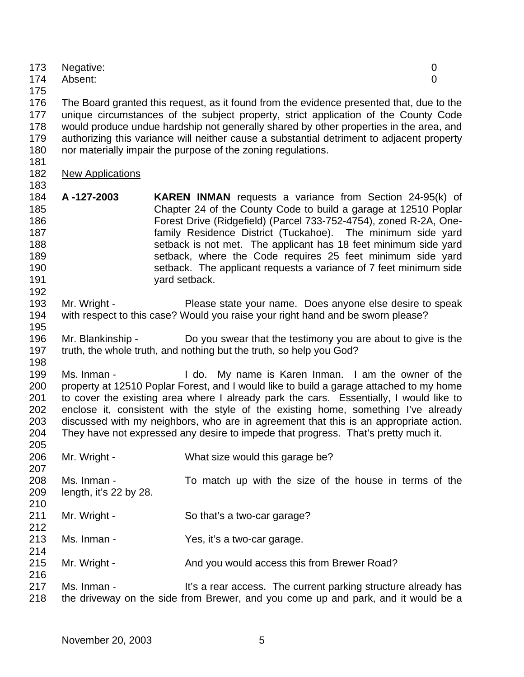| 173 | Negative:                                                                                 |  |
|-----|-------------------------------------------------------------------------------------------|--|
| 174 | Absent:<br>0                                                                              |  |
| 175 |                                                                                           |  |
| 176 | The Board granted this request, as it found from the evidence presented that, due to the  |  |
| 177 | unique circumstances of the subject property, strict application of the County Code       |  |
| 178 | would produce undue hardship not generally shared by other properties in the area, and    |  |
| 179 | authorizing this variance will neither cause a substantial detriment to adjacent property |  |
| 180 | nor materially impair the purpose of the zoning regulations.                              |  |
| 181 |                                                                                           |  |

- New Applications
- 

- **A -127-2003 KAREN INMAN** requests a variance from Section 24-95(k) of Chapter 24 of the County Code to build a garage at 12510 Poplar Forest Drive (Ridgefield) (Parcel 733-752-4754), zoned R-2A, One- family Residence District (Tuckahoe). The minimum side yard setback is not met. The applicant has 18 feet minimum side yard setback, where the Code requires 25 feet minimum side yard setback. The applicant requests a variance of 7 feet minimum side yard setback.
- Mr. Wright Please state your name. Does anyone else desire to speak with respect to this case? Would you raise your right hand and be sworn please?
- Mr. Blankinship Do you swear that the testimony you are about to give is the truth, the whole truth, and nothing but the truth, so help you God?
- Ms. Inman I do. My name is Karen Inman. I am the owner of the property at 12510 Poplar Forest, and I would like to build a garage attached to my home to cover the existing area where I already park the cars. Essentially, I would like to enclose it, consistent with the style of the existing home, something I've already discussed with my neighbors, who are in agreement that this is an appropriate action. They have not expressed any desire to impede that progress. That's pretty much it.
- Mr. Wright What size would this garage be?
- Ms. Inman To match up with the size of the house in terms of the length, it's 22 by 28.
- 211 Mr. Wright So that's a two-car garage?
- Ms. Inman Yes, it's a two-car garage.
- 215 Mr. Wright And you would access this from Brewer Road?
- 217 Ms. Inman It's a rear access. The current parking structure already has the driveway on the side from Brewer, and you come up and park, and it would be a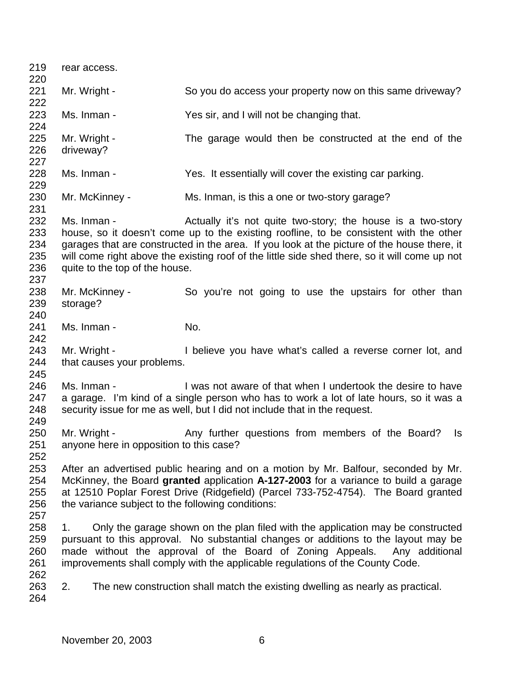rear access. 221 Mr. Wright - So you do access your property now on this same driveway? Ms. Inman - Yes sir, and I will not be changing that. 225 Mr. Wright - The garage would then be constructed at the end of the driveway? Ms. Inman - Yes. It essentially will cover the existing car parking. Mr. McKinney - Ms. Inman, is this a one or two-story garage? 232 Ms. Inman - The Actually it's not quite two-story; the house is a two-story house, so it doesn't come up to the existing roofline, to be consistent with the other garages that are constructed in the area. If you look at the picture of the house there, it will come right above the existing roof of the little side shed there, so it will come up not quite to the top of the house. 238 Mr. McKinney - So you're not going to use the upstairs for other than storage? 241 Ms. Inman - No. Mr. Wright - I believe you have what's called a reverse corner lot, and that causes your problems. Ms. Inman - I was not aware of that when I undertook the desire to have a garage. I'm kind of a single person who has to work a lot of late hours, so it was a security issue for me as well, but I did not include that in the request. 250 Mr. Wright - Any further questions from members of the Board? Is anyone here in opposition to this case? After an advertised public hearing and on a motion by Mr. Balfour, seconded by Mr. McKinney, the Board **granted** application **A-127-2003** for a variance to build a garage at 12510 Poplar Forest Drive (Ridgefield) (Parcel 733-752-4754). The Board granted the variance subject to the following conditions: 1. Only the garage shown on the plan filed with the application may be constructed pursuant to this approval. No substantial changes or additions to the layout may be made without the approval of the Board of Zoning Appeals. Any additional improvements shall comply with the applicable regulations of the County Code. 2. The new construction shall match the existing dwelling as nearly as practical.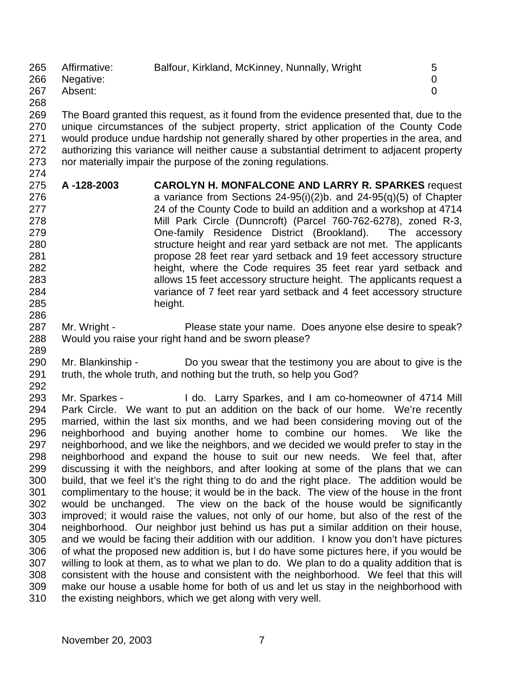| 265<br>266           | Affirmative:<br>Negative: | Balfour, Kirkland, McKinney, Nunnally, Wright | 5 |
|----------------------|---------------------------|-----------------------------------------------|---|
| 267                  | Absent:                   |                                               |   |
| $\sim$ $\sim$ $\sim$ |                           |                                               |   |

 The Board granted this request, as it found from the evidence presented that, due to the unique circumstances of the subject property, strict application of the County Code would produce undue hardship not generally shared by other properties in the area, and authorizing this variance will neither cause a substantial detriment to adjacent property nor materially impair the purpose of the zoning regulations.

- **A -128-2003 CAROLYN H. MONFALCONE AND LARRY R. SPARKES** request a variance from Sections 24-95(i)(2)b. and 24-95(q)(5) of Chapter 24 of the County Code to build an addition and a workshop at 4714 Mill Park Circle (Dunncroft) (Parcel 760-762-6278), zoned R-3, One-family Residence District (Brookland). The accessory 280 structure height and rear yard setback are not met. The applicants propose 28 feet rear yard setback and 19 feet accessory structure height, where the Code requires 35 feet rear yard setback and allows 15 feet accessory structure height. The applicants request a variance of 7 feet rear yard setback and 4 feet accessory structure height.
- 287 Mr. Wright Please state your name. Does anyone else desire to speak? Would you raise your right hand and be sworn please?
- Mr. Blankinship Do you swear that the testimony you are about to give is the truth, the whole truth, and nothing but the truth, so help you God?
- Mr. Sparkes I do. Larry Sparkes, and I am co-homeowner of 4714 Mill Park Circle. We want to put an addition on the back of our home. We're recently married, within the last six months, and we had been considering moving out of the neighborhood and buying another home to combine our homes. We like the neighborhood, and we like the neighbors, and we decided we would prefer to stay in the neighborhood and expand the house to suit our new needs. We feel that, after discussing it with the neighbors, and after looking at some of the plans that we can build, that we feel it's the right thing to do and the right place. The addition would be complimentary to the house; it would be in the back. The view of the house in the front would be unchanged. The view on the back of the house would be significantly improved; it would raise the values, not only of our home, but also of the rest of the neighborhood. Our neighbor just behind us has put a similar addition on their house, and we would be facing their addition with our addition. I know you don't have pictures of what the proposed new addition is, but I do have some pictures here, if you would be willing to look at them, as to what we plan to do. We plan to do a quality addition that is consistent with the house and consistent with the neighborhood. We feel that this will make our house a usable home for both of us and let us stay in the neighborhood with the existing neighbors, which we get along with very well.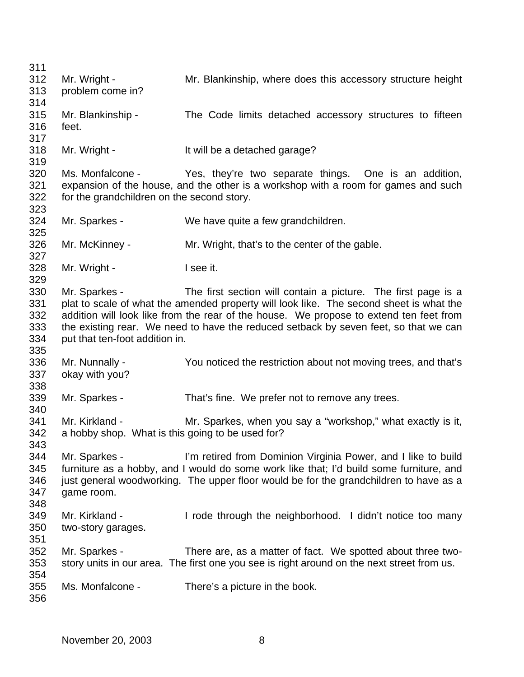Mr. Wright - Mr. Blankinship, where does this accessory structure height problem come in? Mr. Blankinship - The Code limits detached accessory structures to fifteen feet. Mr. Wright - It will be a detached garage? Ms. Monfalcone - Yes, they're two separate things. One is an addition, expansion of the house, and the other is a workshop with a room for games and such for the grandchildren on the second story. Mr. Sparkes - We have quite a few grandchildren. Mr. McKinney - Mr. Wright, that's to the center of the gable. 328 Mr. Wright - I see it. Mr. Sparkes - The first section will contain a picture. The first page is a plat to scale of what the amended property will look like. The second sheet is what the addition will look like from the rear of the house. We propose to extend ten feet from the existing rear. We need to have the reduced setback by seven feet, so that we can put that ten-foot addition in. Mr. Nunnally - You noticed the restriction about not moving trees, and that's okay with you? Mr. Sparkes - That's fine. We prefer not to remove any trees. Mr. Kirkland - Mr. Sparkes, when you say a "workshop," what exactly is it, a hobby shop. What is this going to be used for? Mr. Sparkes - I'm retired from Dominion Virginia Power, and I like to build furniture as a hobby, and I would do some work like that; I'd build some furniture, and 346 just general woodworking. The upper floor would be for the grandchildren to have as a game room. Mr. Kirkland - I rode through the neighborhood. I didn't notice too many two-story garages. Mr. Sparkes - There are, as a matter of fact. We spotted about three two- story units in our area. The first one you see is right around on the next street from us. Ms. Monfalcone - There's a picture in the book.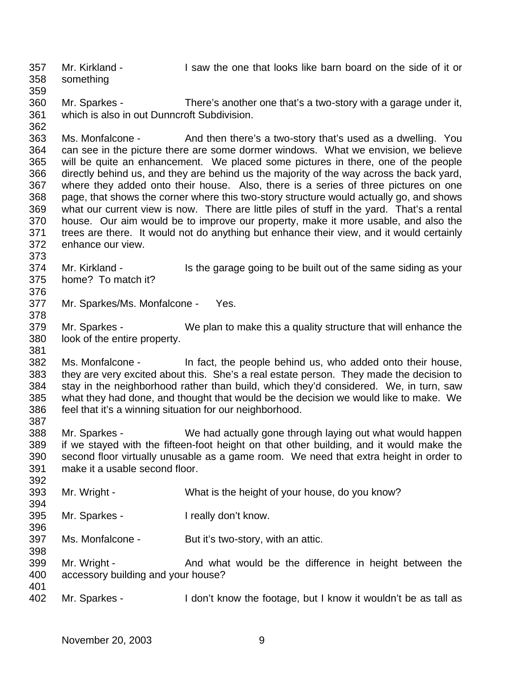Mr. Kirkland - I saw the one that looks like barn board on the side of it or something 

 Mr. Sparkes - There's another one that's a two-story with a garage under it, which is also in out Dunncroft Subdivision.

 Ms. Monfalcone - And then there's a two-story that's used as a dwelling. You can see in the picture there are some dormer windows. What we envision, we believe will be quite an enhancement. We placed some pictures in there, one of the people directly behind us, and they are behind us the majority of the way across the back yard, where they added onto their house. Also, there is a series of three pictures on one page, that shows the corner where this two-story structure would actually go, and shows what our current view is now. There are little piles of stuff in the yard. That's a rental house. Our aim would be to improve our property, make it more usable, and also the trees are there. It would not do anything but enhance their view, and it would certainly enhance our view.

- 374 Mr. Kirkland - Is the garage going to be built out of the same siding as your home? To match it?
- 

- Mr. Sparkes/Ms. Monfalcone Yes.
- Mr. Sparkes We plan to make this a quality structure that will enhance the look of the entire property.

 Ms. Monfalcone - In fact, the people behind us, who added onto their house, they are very excited about this. She's a real estate person. They made the decision to stay in the neighborhood rather than build, which they'd considered. We, in turn, saw what they had done, and thought that would be the decision we would like to make. We feel that it's a winning situation for our neighborhood.

- Mr. Sparkes We had actually gone through laying out what would happen if we stayed with the fifteen-foot height on that other building, and it would make the second floor virtually unusable as a game room. We need that extra height in order to make it a usable second floor.
- Mr. Wright What is the height of your house, do you know?
- Mr. Sparkes I really don't know.
- Ms. Monfalcone But it's two-story, with an attic.
- 399 Mr. Wright And what would be the difference in height between the accessory building and your house?
- 402 Mr. Sparkes I don't know the footage, but I know it wouldn't be as tall as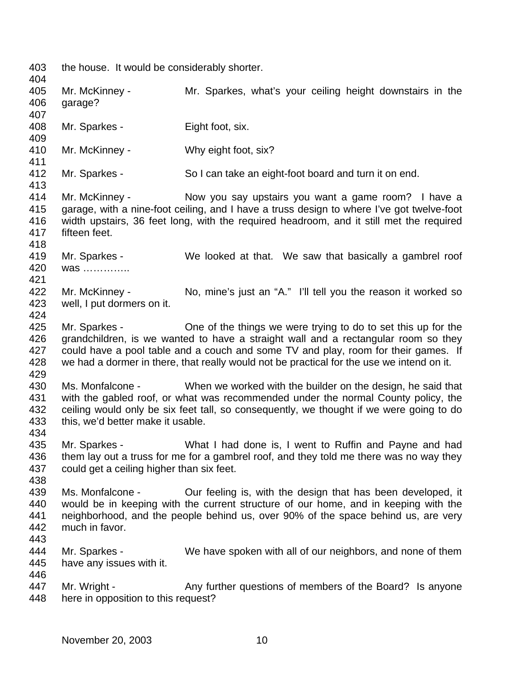the house. It would be considerably shorter. Mr. McKinney - Mr. Sparkes, what's your ceiling height downstairs in the garage? Mr. Sparkes - Eight foot, six. Mr. McKinney - Why eight foot, six? Mr. Sparkes - So I can take an eight-foot board and turn it on end. Mr. McKinney - Now you say upstairs you want a game room? I have a garage, with a nine-foot ceiling, and I have a truss design to where I've got twelve-foot width upstairs, 36 feet long, with the required headroom, and it still met the required fifteen feet. Mr. Sparkes - We looked at that. We saw that basically a gambrel roof was ………….. 422 Mr. McKinney - No, mine's just an "A." I'll tell you the reason it worked so well, I put dormers on it. Mr. Sparkes - One of the things we were trying to do to set this up for the grandchildren, is we wanted to have a straight wall and a rectangular room so they 427 could have a pool table and a couch and some TV and play, room for their games. If we had a dormer in there, that really would not be practical for the use we intend on it. Ms. Monfalcone - When we worked with the builder on the design, he said that with the gabled roof, or what was recommended under the normal County policy, the ceiling would only be six feet tall, so consequently, we thought if we were going to do this, we'd better make it usable. Mr. Sparkes - What I had done is, I went to Ruffin and Payne and had 436 them lay out a truss for me for a gambrel roof, and they told me there was no way they could get a ceiling higher than six feet. 439 Ms. Monfalcone - Cur feeling is, with the design that has been developed, it 440 would be in keeping with the current structure of our home, and in keeping with the would be in keeping with the current structure of our home, and in keeping with the neighborhood, and the people behind us, over 90% of the space behind us, are very much in favor. Mr. Sparkes - We have spoken with all of our neighbors, and none of them have any issues with it. 447 Mr. Wright - Any further questions of members of the Board? Is anyone here in opposition to this request?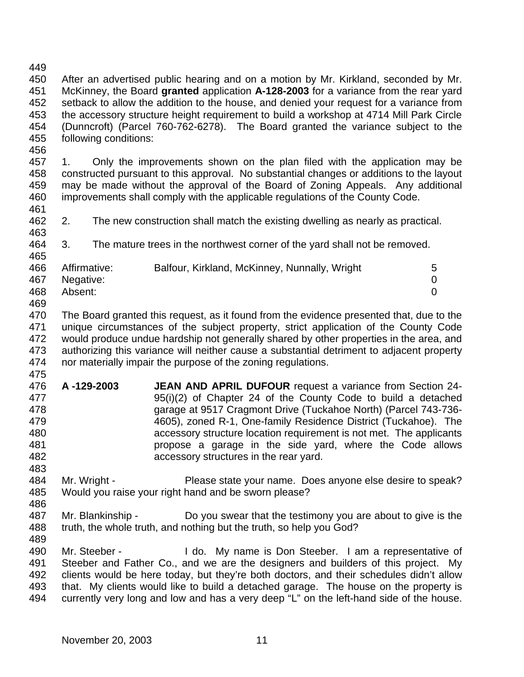After an advertised public hearing and on a motion by Mr. Kirkland, seconded by Mr. McKinney, the Board **granted** application **A-128-2003** for a variance from the rear yard setback to allow the addition to the house, and denied your request for a variance from the accessory structure height requirement to build a workshop at 4714 Mill Park Circle (Dunncroft) (Parcel 760-762-6278). The Board granted the variance subject to the following conditions:

- 1. Only the improvements shown on the plan filed with the application may be constructed pursuant to this approval. No substantial changes or additions to the layout may be made without the approval of the Board of Zoning Appeals. Any additional improvements shall comply with the applicable regulations of the County Code.
- 2. The new construction shall match the existing dwelling as nearly as practical.
- 3. The mature trees in the northwest corner of the yard shall not be removed.

| .   |               |                                               |   |
|-----|---------------|-----------------------------------------------|---|
| 466 | Affirmative:  | Balfour, Kirkland, McKinney, Nunnally, Wright | 5 |
|     | 467 Negative: |                                               |   |
| 468 | Absent:       |                                               |   |
| 469 |               |                                               |   |

- The Board granted this request, as it found from the evidence presented that, due to the unique circumstances of the subject property, strict application of the County Code would produce undue hardship not generally shared by other properties in the area, and authorizing this variance will neither cause a substantial detriment to adjacent property nor materially impair the purpose of the zoning regulations.
- 
- **A -129-2003 JEAN AND APRIL DUFOUR** request a variance from Section 24- 95(i)(2) of Chapter 24 of the County Code to build a detached garage at 9517 Cragmont Drive (Tuckahoe North) (Parcel 743-736- 4605), zoned R-1, One-family Residence District (Tuckahoe). The accessory structure location requirement is not met. The applicants propose a garage in the side yard, where the Code allows accessory structures in the rear yard.
- 484 Mr. Wright Please state your name. Does anyone else desire to speak? Would you raise your right hand and be sworn please?
- Mr. Blankinship Do you swear that the testimony you are about to give is the truth, the whole truth, and nothing but the truth, so help you God?
- 

 Mr. Steeber - I do. My name is Don Steeber. I am a representative of Steeber and Father Co., and we are the designers and builders of this project. My clients would be here today, but they're both doctors, and their schedules didn't allow that. My clients would like to build a detached garage. The house on the property is currently very long and low and has a very deep "L" on the left-hand side of the house.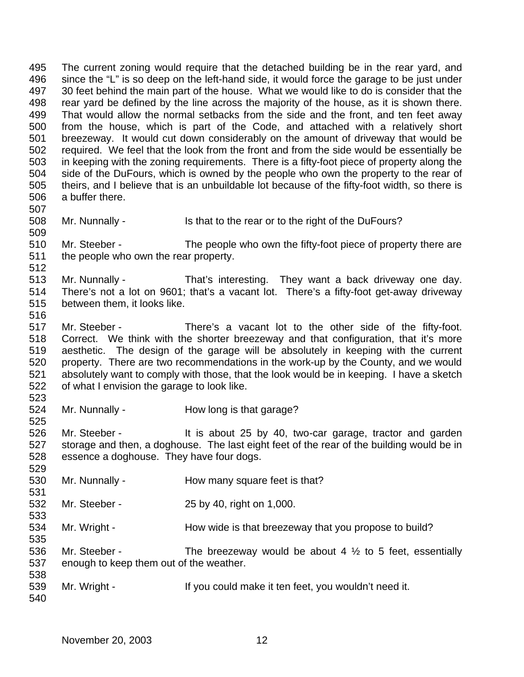The current zoning would require that the detached building be in the rear yard, and 496 since the "L" is so deep on the left-hand side, it would force the garage to be just under 30 feet behind the main part of the house. What we would like to do is consider that the 498 rear yard be defined by the line across the majority of the house, as it is shown there.<br>499 That would allow the normal setbacks from the side and the front, and ten feet away That would allow the normal setbacks from the side and the front, and ten feet away from the house, which is part of the Code, and attached with a relatively short breezeway. It would cut down considerably on the amount of driveway that would be required. We feel that the look from the front and from the side would be essentially be in keeping with the zoning requirements. There is a fifty-foot piece of property along the side of the DuFours, which is owned by the people who own the property to the rear of theirs, and I believe that is an unbuildable lot because of the fifty-foot width, so there is a buffer there. 508 Mr. Nunnally - Is that to the rear or to the right of the DuFours? Mr. Steeber - The people who own the fifty-foot piece of property there are the people who own the rear property. Mr. Nunnally - That's interesting. They want a back driveway one day. There's not a lot on 9601; that's a vacant lot. There's a fifty-foot get-away driveway between them, it looks like. Mr. Steeber - There's a vacant lot to the other side of the fifty-foot. Correct. We think with the shorter breezeway and that configuration, that it's more aesthetic. The design of the garage will be absolutely in keeping with the current property. There are two recommendations in the work-up by the County, and we would absolutely want to comply with those, that the look would be in keeping. I have a sketch of what I envision the garage to look like. 524 Mr. Nunnally - How long is that garage? 526 Mr. Steeber - It is about 25 by 40, two-car garage, tractor and garden storage and then, a doghouse. The last eight feet of the rear of the building would be in essence a doghouse. They have four dogs. 530 Mr. Nunnally - How many square feet is that? Mr. Steeber - 25 by 40, right on 1,000. 534 Mr. Wright - How wide is that breezeway that you propose to build? 536 Mr. Steeber - The breezeway would be about 4  $\frac{1}{2}$  to 5 feet, essentially enough to keep them out of the weather. 539 Mr. Wright - If you could make it ten feet, you wouldn't need it.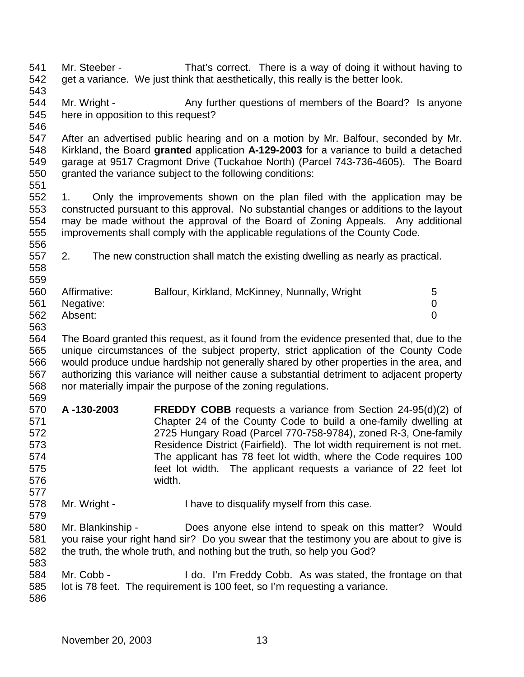Mr. Steeber - That's correct. There is a way of doing it without having to get a variance. We just think that aesthetically, this really is the better look. 544 Mr. Wright - Any further questions of members of the Board? Is anyone here in opposition to this request? After an advertised public hearing and on a motion by Mr. Balfour, seconded by Mr. Kirkland, the Board **granted** application **A-129-2003** for a variance to build a detached garage at 9517 Cragmont Drive (Tuckahoe North) (Parcel 743-736-4605). The Board granted the variance subject to the following conditions: 1. Only the improvements shown on the plan filed with the application may be constructed pursuant to this approval. No substantial changes or additions to the layout may be made without the approval of the Board of Zoning Appeals. Any additional improvements shall comply with the applicable regulations of the County Code. 2. The new construction shall match the existing dwelling as nearly as practical. Affirmative: Balfour, Kirkland, McKinney, Nunnally, Wright 5 Negative: 0 Absent: 0 The Board granted this request, as it found from the evidence presented that, due to the unique circumstances of the subject property, strict application of the County Code would produce undue hardship not generally shared by other properties in the area, and authorizing this variance will neither cause a substantial detriment to adjacent property nor materially impair the purpose of the zoning regulations. **A -130-2003 FREDDY COBB** requests a variance from Section 24-95(d)(2) of Chapter 24 of the County Code to build a one-family dwelling at 2725 Hungary Road (Parcel 770-758-9784), zoned R-3, One-family Residence District (Fairfield). The lot width requirement is not met. The applicant has 78 feet lot width, where the Code requires 100 feet lot width. The applicant requests a variance of 22 feet lot width. Mr. Wright - I have to disqualify myself from this case. Mr. Blankinship - Does anyone else intend to speak on this matter? Would you raise your right hand sir? Do you swear that the testimony you are about to give is the truth, the whole truth, and nothing but the truth, so help you God? Mr. Cobb - I do. I'm Freddy Cobb. As was stated, the frontage on that lot is 78 feet. The requirement is 100 feet, so I'm requesting a variance.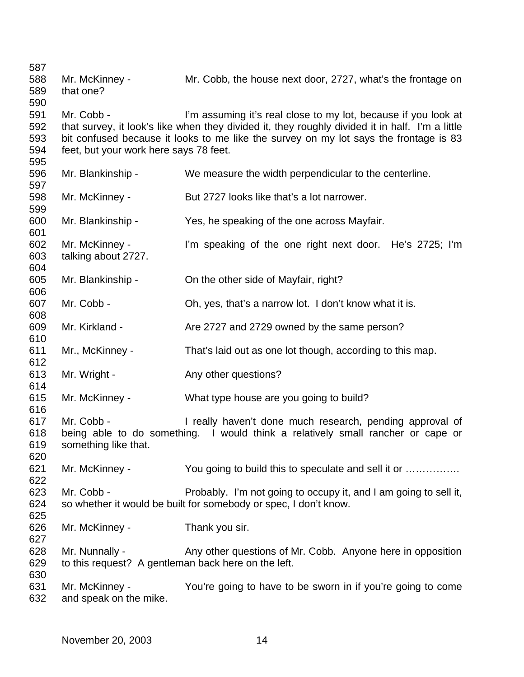| 587                             |                                                                       |                                                                                                                                                                                                                                                            |
|---------------------------------|-----------------------------------------------------------------------|------------------------------------------------------------------------------------------------------------------------------------------------------------------------------------------------------------------------------------------------------------|
| 588<br>589<br>590               | Mr. McKinney -<br>that one?                                           | Mr. Cobb, the house next door, 2727, what's the frontage on                                                                                                                                                                                                |
| 591<br>592<br>593<br>594<br>595 | Mr. Cobb -<br>feet, but your work here says 78 feet.                  | I'm assuming it's real close to my lot, because if you look at<br>that survey, it look's like when they divided it, they roughly divided it in half. I'm a little<br>bit confused because it looks to me like the survey on my lot says the frontage is 83 |
| 596<br>597                      | Mr. Blankinship -                                                     | We measure the width perpendicular to the centerline.                                                                                                                                                                                                      |
| 598<br>599                      | Mr. McKinney -                                                        | But 2727 looks like that's a lot narrower.                                                                                                                                                                                                                 |
| 600<br>601                      | Mr. Blankinship -                                                     | Yes, he speaking of the one across Mayfair.                                                                                                                                                                                                                |
| 602<br>603<br>604               | Mr. McKinney -<br>talking about 2727.                                 | I'm speaking of the one right next door. He's 2725; I'm                                                                                                                                                                                                    |
| 605<br>606                      | Mr. Blankinship -                                                     | On the other side of Mayfair, right?                                                                                                                                                                                                                       |
| 607<br>608                      | Mr. Cobb -                                                            | Oh, yes, that's a narrow lot. I don't know what it is.                                                                                                                                                                                                     |
| 609<br>610                      | Mr. Kirkland -                                                        | Are 2727 and 2729 owned by the same person?                                                                                                                                                                                                                |
| 611<br>612                      | Mr., McKinney -                                                       | That's laid out as one lot though, according to this map.                                                                                                                                                                                                  |
| 613<br>614                      | Mr. Wright -                                                          | Any other questions?                                                                                                                                                                                                                                       |
| 615<br>616                      | Mr. McKinney -                                                        | What type house are you going to build?                                                                                                                                                                                                                    |
| 617<br>618<br>619<br>620        | Mr. Cobb -<br>something like that.                                    | I really haven't done much research, pending approval of<br>being able to do something. I would think a relatively small rancher or cape or                                                                                                                |
| 621<br>622                      | Mr. McKinney -                                                        | You going to build this to speculate and sell it or                                                                                                                                                                                                        |
| 623<br>624<br>625               | Mr. Cobb -                                                            | Probably. I'm not going to occupy it, and I am going to sell it,<br>so whether it would be built for somebody or spec, I don't know.                                                                                                                       |
| 626<br>627                      | Mr. McKinney -                                                        | Thank you sir.                                                                                                                                                                                                                                             |
| 628<br>629<br>630               | Mr. Nunnally -<br>to this request? A gentleman back here on the left. | Any other questions of Mr. Cobb. Anyone here in opposition                                                                                                                                                                                                 |
| 631<br>632                      | Mr. McKinney -<br>and speak on the mike.                              | You're going to have to be sworn in if you're going to come                                                                                                                                                                                                |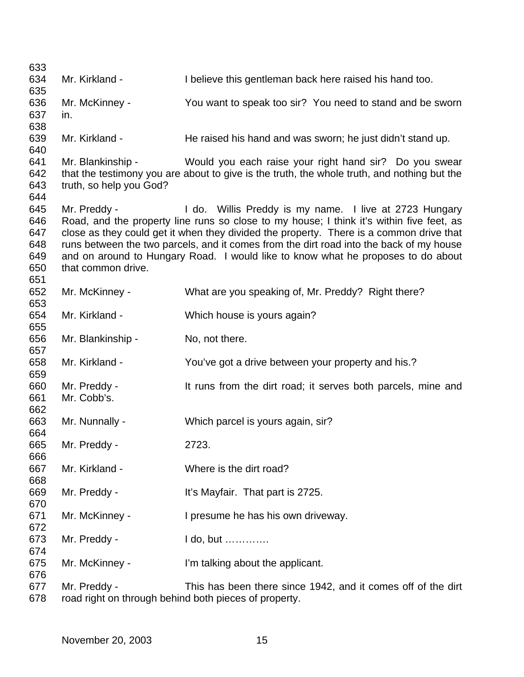| 633        |                                                       |                                                                                             |
|------------|-------------------------------------------------------|---------------------------------------------------------------------------------------------|
| 634        | Mr. Kirkland -                                        | I believe this gentleman back here raised his hand too.                                     |
| 635<br>636 | Mr. McKinney -                                        | You want to speak too sir? You need to stand and be sworn                                   |
| 637        | in.                                                   |                                                                                             |
| 638        |                                                       |                                                                                             |
| 639        | Mr. Kirkland -                                        | He raised his hand and was sworn; he just didn't stand up.                                  |
| 640        |                                                       |                                                                                             |
| 641        | Mr. Blankinship -                                     | Would you each raise your right hand sir? Do you swear                                      |
| 642        |                                                       | that the testimony you are about to give is the truth, the whole truth, and nothing but the |
| 643        | truth, so help you God?                               |                                                                                             |
| 644        |                                                       |                                                                                             |
| 645        | Mr. Preddy -                                          | I do. Willis Preddy is my name. I live at 2723 Hungary                                      |
| 646        |                                                       | Road, and the property line runs so close to my house; I think it's within five feet, as    |
| 647        |                                                       | close as they could get it when they divided the property. There is a common drive that     |
| 648        |                                                       | runs between the two parcels, and it comes from the dirt road into the back of my house     |
| 649        |                                                       | and on around to Hungary Road. I would like to know what he proposes to do about            |
| 650        | that common drive.                                    |                                                                                             |
| 651        |                                                       |                                                                                             |
| 652        | Mr. McKinney -                                        | What are you speaking of, Mr. Preddy? Right there?                                          |
| 653        |                                                       |                                                                                             |
| 654<br>655 | Mr. Kirkland -                                        | Which house is yours again?                                                                 |
| 656        | Mr. Blankinship -                                     | No, not there.                                                                              |
| 657        |                                                       |                                                                                             |
| 658        | Mr. Kirkland -                                        | You've got a drive between your property and his.?                                          |
| 659        |                                                       |                                                                                             |
| 660        | Mr. Preddy -                                          | It runs from the dirt road; it serves both parcels, mine and                                |
| 661        | Mr. Cobb's.                                           |                                                                                             |
| 662        |                                                       |                                                                                             |
| 663        | Mr. Nunnally -                                        | Which parcel is yours again, sir?                                                           |
| 664        |                                                       |                                                                                             |
| 665        | Mr. Preddy -                                          | 2723.                                                                                       |
| 666        |                                                       |                                                                                             |
| 667        | Mr. Kirkland -                                        | Where is the dirt road?                                                                     |
| 668        |                                                       |                                                                                             |
| 669<br>670 | Mr. Preddy -                                          | It's Mayfair. That part is 2725.                                                            |
| 671        | Mr. McKinney -                                        | I presume he has his own driveway.                                                          |
| 672        |                                                       |                                                                                             |
| 673        | Mr. Preddy -                                          | I do, but                                                                                   |
| 674        |                                                       |                                                                                             |
| 675        | Mr. McKinney -                                        | I'm talking about the applicant.                                                            |
| 676        |                                                       |                                                                                             |
| 677        | Mr. Preddy -                                          | This has been there since 1942, and it comes off of the dirt                                |
| 678        | road right on through behind both pieces of property. |                                                                                             |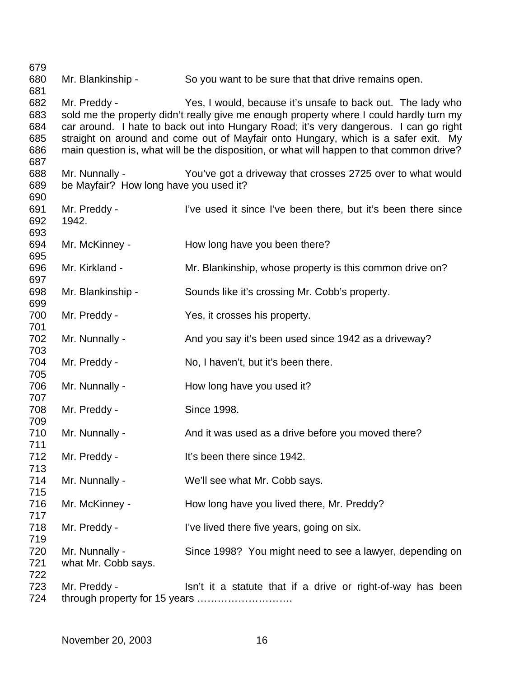680 Mr. Blankinship - So you want to be sure that that drive remains open. Mr. Preddy - Yes, I would, because it's unsafe to back out. The lady who sold me the property didn't really give me enough property where I could hardly turn my car around. I hate to back out into Hungary Road; it's very dangerous. I can go right straight on around and come out of Mayfair onto Hungary, which is a safer exit. My main question is, what will be the disposition, or what will happen to that common drive? Mr. Nunnally - You've got a driveway that crosses 2725 over to what would be Mayfair? How long have you used it? Mr. Preddy - I've used it since I've been there, but it's been there since 1942. Mr. McKinney - How long have you been there? Mr. Kirkland - Mr. Blankinship, whose property is this common drive on? Mr. Blankinship - Sounds like it's crossing Mr. Cobb's property. Mr. Preddy - Yes, it crosses his property. 702 Mr. Nunnally - And you say it's been used since 1942 as a driveway? 704 Mr. Preddy - No, I haven't, but it's been there. 706 Mr. Nunnally - How long have you used it? Mr. Preddy - Since 1998. 710 Mr. Nunnally - And it was used as a drive before you moved there? 712 Mr. Preddy - It's been there since 1942. Mr. Nunnally - We'll see what Mr. Cobb says. 716 Mr. McKinney - How long have you lived there, Mr. Preddy? 718 Mr. Preddy - I've lived there five years, going on six. Mr. Nunnally - Since 1998? You might need to see a lawyer, depending on what Mr. Cobb says. 723 Mr. Preddy - Isn't it a statute that if a drive or right-of-way has been through property for 15 years ……………………….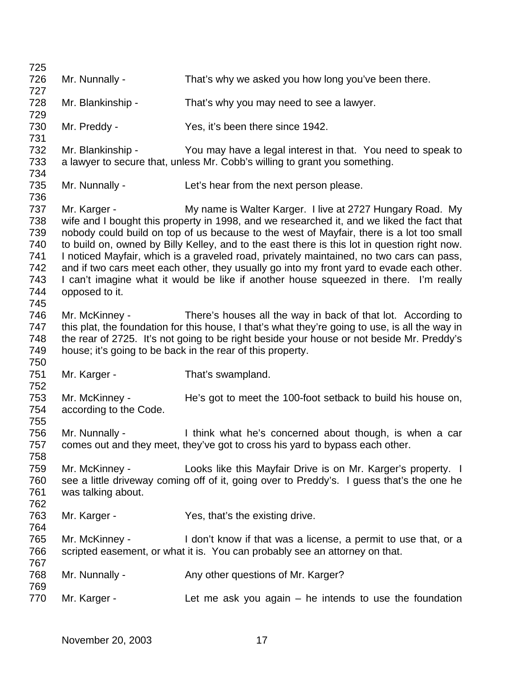726 Mr. Nunnally - That's why we asked you how long you've been there. Mr. Blankinship - That's why you may need to see a lawyer. 730 Mr. Preddy - Yes, it's been there since 1942. Mr. Blankinship - You may have a legal interest in that. You need to speak to a lawyer to secure that, unless Mr. Cobb's willing to grant you something. Mr. Nunnally - Let's hear from the next person please. Mr. Karger - My name is Walter Karger. I live at 2727 Hungary Road. My wife and I bought this property in 1998, and we researched it, and we liked the fact that nobody could build on top of us because to the west of Mayfair, there is a lot too small to build on, owned by Billy Kelley, and to the east there is this lot in question right now. I noticed Mayfair, which is a graveled road, privately maintained, no two cars can pass, and if two cars meet each other, they usually go into my front yard to evade each other. 743 I can't imagine what it would be like if another house squeezed in there. I'm really opposed to it. Mr. McKinney - There's houses all the way in back of that lot. According to this plat, the foundation for this house, I that's what they're going to use, is all the way in 748 the rear of 2725. It's not going to be right beside your house or not beside Mr. Preddy's house; it's going to be back in the rear of this property. Mr. Karger - That's swampland. Mr. McKinney - He's got to meet the 100-foot setback to build his house on, according to the Code. 756 Mr. Nunnally - I think what he's concerned about though, is when a car comes out and they meet, they've got to cross his yard to bypass each other. Mr. McKinney - Looks like this Mayfair Drive is on Mr. Karger's property. I see a little driveway coming off of it, going over to Preddy's. I guess that's the one he was talking about. Mr. Karger - Yes, that's the existing drive. Mr. McKinney - I don't know if that was a license, a permit to use that, or a scripted easement, or what it is. You can probably see an attorney on that. 768 Mr. Nunnally - Any other questions of Mr. Karger? 770 Mr. Karger - Let me ask you again – he intends to use the foundation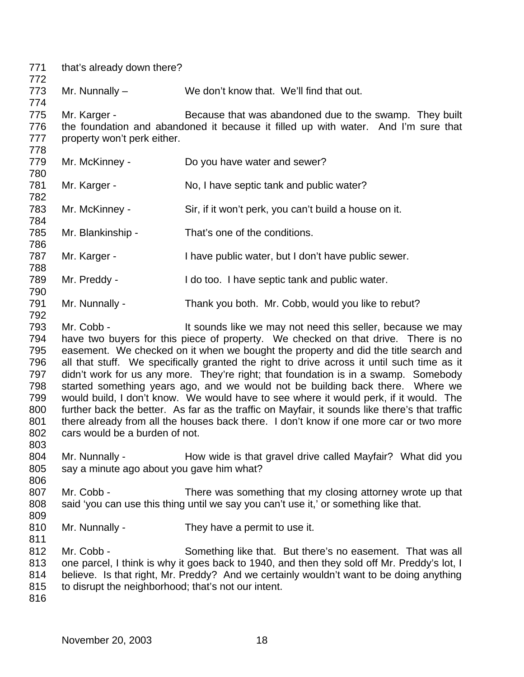| 771<br>772                                                                | that's already down there?                                        |                                                                                                                                                                                                                                                                                                                                                                                                                                                                                                                                                                                                                                                                                                                                                                                                    |  |
|---------------------------------------------------------------------------|-------------------------------------------------------------------|----------------------------------------------------------------------------------------------------------------------------------------------------------------------------------------------------------------------------------------------------------------------------------------------------------------------------------------------------------------------------------------------------------------------------------------------------------------------------------------------------------------------------------------------------------------------------------------------------------------------------------------------------------------------------------------------------------------------------------------------------------------------------------------------------|--|
| 773<br>774                                                                | Mr. Nunnally $-$                                                  | We don't know that. We'll find that out.                                                                                                                                                                                                                                                                                                                                                                                                                                                                                                                                                                                                                                                                                                                                                           |  |
| 775<br>776<br>777<br>778                                                  | Mr. Karger -<br>property won't perk either.                       | Because that was abandoned due to the swamp. They built<br>the foundation and abandoned it because it filled up with water. And I'm sure that                                                                                                                                                                                                                                                                                                                                                                                                                                                                                                                                                                                                                                                      |  |
| 779<br>780                                                                | Mr. McKinney -                                                    | Do you have water and sewer?                                                                                                                                                                                                                                                                                                                                                                                                                                                                                                                                                                                                                                                                                                                                                                       |  |
| 781<br>782                                                                | Mr. Karger -                                                      | No, I have septic tank and public water?                                                                                                                                                                                                                                                                                                                                                                                                                                                                                                                                                                                                                                                                                                                                                           |  |
| 783<br>784                                                                | Mr. McKinney -                                                    | Sir, if it won't perk, you can't build a house on it.                                                                                                                                                                                                                                                                                                                                                                                                                                                                                                                                                                                                                                                                                                                                              |  |
| 785<br>786                                                                | Mr. Blankinship -                                                 | That's one of the conditions.                                                                                                                                                                                                                                                                                                                                                                                                                                                                                                                                                                                                                                                                                                                                                                      |  |
| 787<br>788                                                                | Mr. Karger -                                                      | I have public water, but I don't have public sewer.                                                                                                                                                                                                                                                                                                                                                                                                                                                                                                                                                                                                                                                                                                                                                |  |
| 789<br>790                                                                | Mr. Preddy -                                                      | I do too. I have septic tank and public water.                                                                                                                                                                                                                                                                                                                                                                                                                                                                                                                                                                                                                                                                                                                                                     |  |
| 791<br>792                                                                | Mr. Nunnally -                                                    | Thank you both. Mr. Cobb, would you like to rebut?                                                                                                                                                                                                                                                                                                                                                                                                                                                                                                                                                                                                                                                                                                                                                 |  |
| 793<br>794<br>795<br>796<br>797<br>798<br>799<br>800<br>801<br>802<br>803 | Mr. Cobb -<br>cars would be a burden of not.                      | It sounds like we may not need this seller, because we may<br>have two buyers for this piece of property. We checked on that drive. There is no<br>easement. We checked on it when we bought the property and did the title search and<br>all that stuff. We specifically granted the right to drive across it until such time as it<br>didn't work for us any more. They're right; that foundation is in a swamp. Somebody<br>started something years ago, and we would not be building back there. Where we<br>would build, I don't know. We would have to see where it would perk, if it would. The<br>further back the better. As far as the traffic on Mayfair, it sounds like there's that traffic<br>there already from all the houses back there. I don't know if one more car or two more |  |
| 804<br>805<br>806                                                         | Mr. Nunnally -<br>say a minute ago about you gave him what?       | How wide is that gravel drive called Mayfair? What did you                                                                                                                                                                                                                                                                                                                                                                                                                                                                                                                                                                                                                                                                                                                                         |  |
| 807<br>808<br>809                                                         | Mr. Cobb -                                                        | There was something that my closing attorney wrote up that<br>said 'you can use this thing until we say you can't use it,' or something like that.                                                                                                                                                                                                                                                                                                                                                                                                                                                                                                                                                                                                                                                 |  |
| 810<br>811                                                                | Mr. Nunnally -                                                    | They have a permit to use it.                                                                                                                                                                                                                                                                                                                                                                                                                                                                                                                                                                                                                                                                                                                                                                      |  |
| 812<br>813<br>814<br>815<br>816                                           | Mr. Cobb -<br>to disrupt the neighborhood; that's not our intent. | Something like that. But there's no easement. That was all<br>one parcel, I think is why it goes back to 1940, and then they sold off Mr. Preddy's lot, I<br>believe. Is that right, Mr. Preddy? And we certainly wouldn't want to be doing anything                                                                                                                                                                                                                                                                                                                                                                                                                                                                                                                                               |  |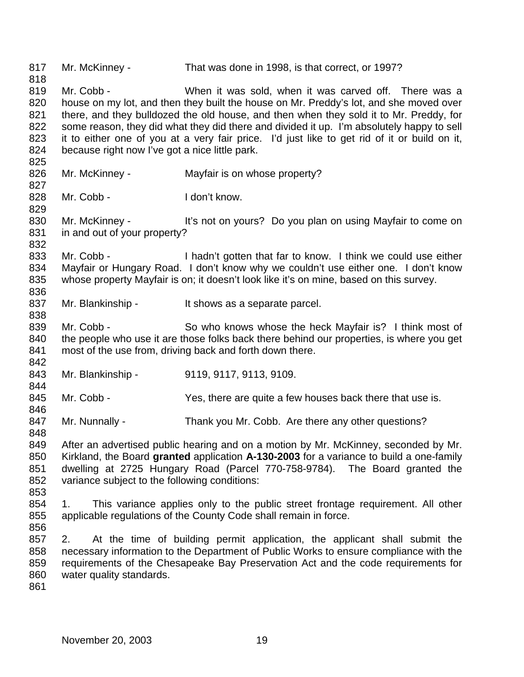Mr. McKinney - That was done in 1998, is that correct, or 1997? Mr. Cobb - When it was sold, when it was carved off. There was a house on my lot, and then they built the house on Mr. Preddy's lot, and she moved over there, and they bulldozed the old house, and then when they sold it to Mr. Preddy, for some reason, they did what they did there and divided it up. I'm absolutely happy to sell it to either one of you at a very fair price. I'd just like to get rid of it or build on it, because right now I've got a nice little park. Mr. McKinney - Mayfair is on whose property? 828 Mr. Cobb - I don't know. 830 Mr. McKinney - It's not on yours? Do you plan on using Mayfair to come on in and out of your property? Mr. Cobb - I hadn't gotten that far to know. I think we could use either Mayfair or Hungary Road. I don't know why we couldn't use either one. I don't know whose property Mayfair is on; it doesn't look like it's on mine, based on this survey. 837 Mr. Blankinship - It shows as a separate parcel. 839 Mr. Cobb - So who knows whose the heck Mayfair is? I think most of 840 the people who use it are those folks back there behind our properties, is where you get most of the use from, driving back and forth down there. 843 Mr. Blankinship - 9119, 9117, 9113, 9109. 845 Mr. Cobb - Yes, there are quite a few houses back there that use is. 847 Mr. Nunnally - Thank you Mr. Cobb. Are there any other questions? After an advertised public hearing and on a motion by Mr. McKinney, seconded by Mr. Kirkland, the Board **granted** application **A-130-2003** for a variance to build a one-family dwelling at 2725 Hungary Road (Parcel 770-758-9784). The Board granted the variance subject to the following conditions: 1. This variance applies only to the public street frontage requirement. All other applicable regulations of the County Code shall remain in force. 2. At the time of building permit application, the applicant shall submit the necessary information to the Department of Public Works to ensure compliance with the requirements of the Chesapeake Bay Preservation Act and the code requirements for water quality standards.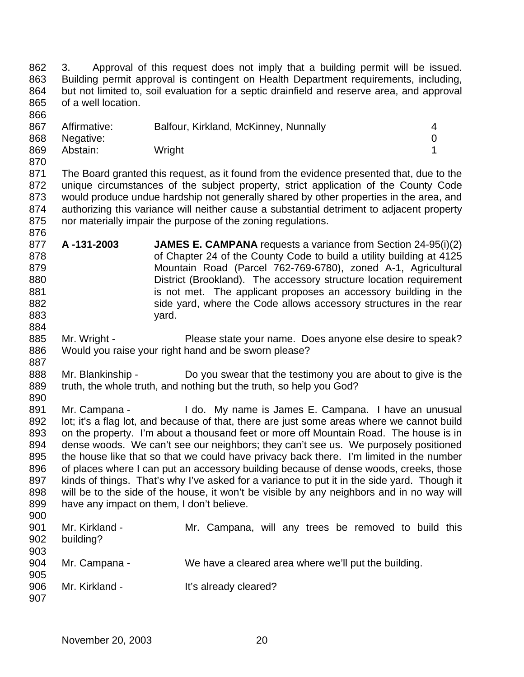3. Approval of this request does not imply that a building permit will be issued. Building permit approval is contingent on Health Department requirements, including, but not limited to, soil evaluation for a septic drainfield and reserve area, and approval of a well location. 

| 867 | Affirmative: | Balfour, Kirkland, McKinney, Nunnally |  |
|-----|--------------|---------------------------------------|--|
| 868 | Negative:    |                                       |  |
| 869 | Abstain:     | Wright                                |  |

 The Board granted this request, as it found from the evidence presented that, due to the unique circumstances of the subject property, strict application of the County Code would produce undue hardship not generally shared by other properties in the area, and authorizing this variance will neither cause a substantial detriment to adjacent property nor materially impair the purpose of the zoning regulations.

- **A -131-2003 JAMES E. CAMPANA** requests a variance from Section 24-95(i)(2) of Chapter 24 of the County Code to build a utility building at 4125 Mountain Road (Parcel 762-769-6780), zoned A-1, Agricultural District (Brookland). The accessory structure location requirement 881 is not met. The applicant proposes an accessory building in the 882 side yard, where the Code allows accessory structures in the rear 883 vard.
- 885 Mr. Wright Please state your name. Does anyone else desire to speak? Would you raise your right hand and be sworn please?
- 888 Mr. Blankinship Do you swear that the testimony you are about to give is the truth, the whole truth, and nothing but the truth, so help you God?
- 891 Mr. Campana I do. My name is James E. Campana. I have an unusual 892 lot; it's a flag lot, and because of that, there are just some areas where we cannot build on the property. I'm about a thousand feet or more off Mountain Road. The house is in dense woods. We can't see our neighbors; they can't see us. We purposely positioned the house like that so that we could have privacy back there. I'm limited in the number 896 of places where I can put an accessory building because of dense woods, creeks, those kinds of things. That's why I've asked for a variance to put it in the side yard. Though it will be to the side of the house, it won't be visible by any neighbors and in no way will have any impact on them, I don't believe.
- Mr. Kirkland - Mr. Campana, will any trees be removed to build this building? 904 Mr. Campana - We have a cleared area where we'll put the building. 906 Mr. Kirkland - It's already cleared?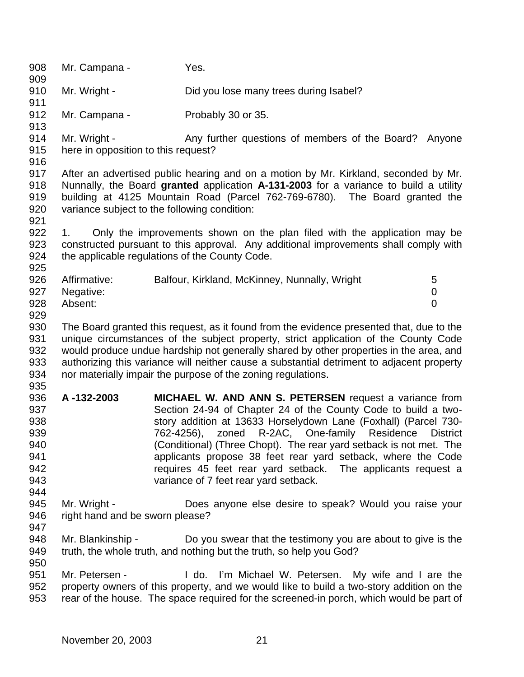908 Mr. Campana - Yes. 910 Mr. Wright - Did you lose many trees during Isabel? 912 Mr. Campana - Probably 30 or 35. 914 Mr. Wright - Any further questions of members of the Board? Anyone here in opposition to this request? After an advertised public hearing and on a motion by Mr. Kirkland, seconded by Mr. Nunnally, the Board **granted** application **A-131-2003** for a variance to build a utility building at 4125 Mountain Road (Parcel 762-769-6780). The Board granted the variance subject to the following condition: 1. Only the improvements shown on the plan filed with the application may be constructed pursuant to this approval. Any additional improvements shall comply with the applicable regulations of the County Code. 926 Affirmative: Balfour, Kirkland, McKinney, Nunnally, Wright 5 Negative: 0 Absent: 0 The Board granted this request, as it found from the evidence presented that, due to the unique circumstances of the subject property, strict application of the County Code would produce undue hardship not generally shared by other properties in the area, and authorizing this variance will neither cause a substantial detriment to adjacent property nor materially impair the purpose of the zoning regulations. **A -132-2003 MICHAEL W. AND ANN S. PETERSEN** request a variance from Section 24-94 of Chapter 24 of the County Code to build a two- story addition at 13633 Horselydown Lane (Foxhall) (Parcel 730- 762-4256), zoned R-2AC, One-family Residence District (Conditional) (Three Chopt). The rear yard setback is not met. The applicants propose 38 feet rear yard setback, where the Code requires 45 feet rear yard setback. The applicants request a variance of 7 feet rear yard setback. Mr. Wright - Does anyone else desire to speak? Would you raise your 946 right hand and be sworn please? Mr. Blankinship - Do you swear that the testimony you are about to give is the truth, the whole truth, and nothing but the truth, so help you God? Mr. Petersen - I do. I'm Michael W. Petersen. My wife and I are the property owners of this property, and we would like to build a two-story addition on the rear of the house. The space required for the screened-in porch, which would be part of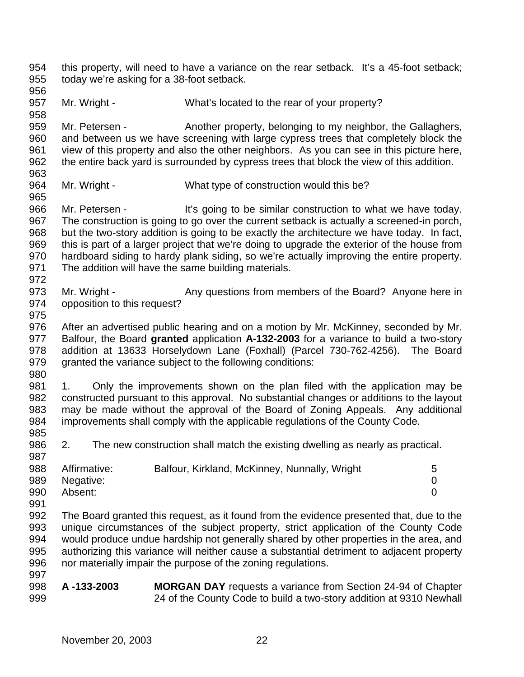this property, will need to have a variance on the rear setback. It's a 45-foot setback; today we're asking for a 38-foot setback.

Mr. Wright - What's located to the rear of your property?

959 Mr. Petersen - Another property, belonging to my neighbor, the Gallaghers, and between us we have screening with large cypress trees that completely block the view of this property and also the other neighbors. As you can see in this picture here, the entire back yard is surrounded by cypress trees that block the view of this addition. 

964 Mr. Wright - What type of construction would this be?

966 Mr. Petersen - It's going to be similar construction to what we have today. The construction is going to go over the current setback is actually a screened-in porch, but the two-story addition is going to be exactly the architecture we have today. In fact, this is part of a larger project that we're doing to upgrade the exterior of the house from hardboard siding to hardy plank siding, so we're actually improving the entire property. The addition will have the same building materials.

972<br>973 Mr. Wright - Any questions from members of the Board? Anyone here in opposition to this request?

 After an advertised public hearing and on a motion by Mr. McKinney, seconded by Mr. Balfour, the Board **granted** application **A-132-2003** for a variance to build a two-story addition at 13633 Horselydown Lane (Foxhall) (Parcel 730-762-4256). The Board granted the variance subject to the following conditions:

 1. Only the improvements shown on the plan filed with the application may be constructed pursuant to this approval. No substantial changes or additions to the layout may be made without the approval of the Board of Zoning Appeals. Any additional improvements shall comply with the applicable regulations of the County Code. 

 2. The new construction shall match the existing dwelling as nearly as practical. 

| 988 | Affirmative:  | Balfour, Kirkland, McKinney, Nunnally, Wright | $5^{\circ}$ |
|-----|---------------|-----------------------------------------------|-------------|
|     | 989 Negative: |                                               |             |
| 990 | Absent:       |                                               |             |

- The Board granted this request, as it found from the evidence presented that, due to the unique circumstances of the subject property, strict application of the County Code would produce undue hardship not generally shared by other properties in the area, and authorizing this variance will neither cause a substantial detriment to adjacent property nor materially impair the purpose of the zoning regulations.
- **A -133-2003 MORGAN DAY** requests a variance from Section 24-94 of Chapter 24 of the County Code to build a two-story addition at 9310 Newhall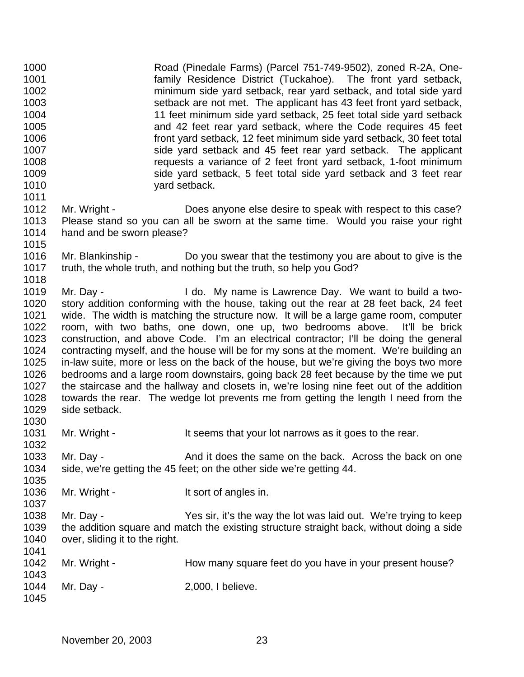Road (Pinedale Farms) (Parcel 751-749-9502), zoned R-2A, One- family Residence District (Tuckahoe). The front yard setback, minimum side yard setback, rear yard setback, and total side yard setback are not met. The applicant has 43 feet front yard setback, 11 feet minimum side yard setback, 25 feet total side yard setback and 42 feet rear yard setback, where the Code requires 45 feet front yard setback, 12 feet minimum side yard setback, 30 feet total side yard setback and 45 feet rear yard setback. The applicant requests a variance of 2 feet front yard setback, 1-foot minimum side yard setback, 5 feet total side yard setback and 3 feet rear **yard setback.**  1012 Mr. Wright - Does anyone else desire to speak with respect to this case? Please stand so you can all be sworn at the same time. Would you raise your right hand and be sworn please? Mr. Blankinship - Do you swear that the testimony you are about to give is the truth, the whole truth, and nothing but the truth, so help you God? Mr. Day - I do. My name is Lawrence Day. We want to build a two- story addition conforming with the house, taking out the rear at 28 feet back, 24 feet wide. The width is matching the structure now. It will be a large game room, computer room, with two baths, one down, one up, two bedrooms above. It'll be brick construction, and above Code. I'm an electrical contractor; I'll be doing the general contracting myself, and the house will be for my sons at the moment. We're building an in-law suite, more or less on the back of the house, but we're giving the boys two more bedrooms and a large room downstairs, going back 28 feet because by the time we put the staircase and the hallway and closets in, we're losing nine feet out of the addition towards the rear. The wedge lot prevents me from getting the length I need from the side setback.

1031 Mr. Wright - It seems that your lot narrows as it goes to the rear.

 Mr. Day - And it does the same on the back. Across the back on one side, we're getting the 45 feet; on the other side we're getting 44.

1036 Mr. Wright - It sort of angles in.

 Mr. Day - Yes sir, it's the way the lot was laid out. We're trying to keep the addition square and match the existing structure straight back, without doing a side 1040 over, sliding it to the right. 

1042 Mr. Wright - How many square feet do you have in your present house? Mr. Day - 2,000, I believe.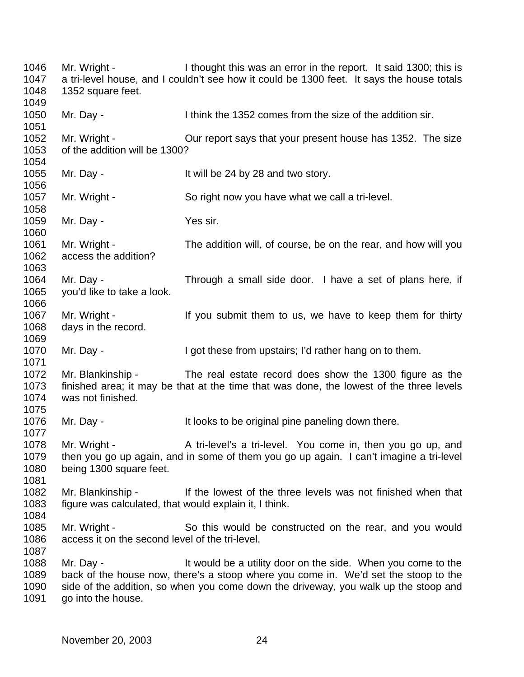Mr. Wright - I thought this was an error in the report. It said 1300; this is a tri-level house, and I couldn't see how it could be 1300 feet. It says the house totals 1352 square feet. Mr. Day - I think the 1352 comes from the size of the addition sir. 1052 Mr. Wright - Cur report says that your present house has 1352. The size of the addition will be 1300? 1055 Mr. Day - It will be 24 by 28 and two story. Mr. Wright - So right now you have what we call a tri-level. 1059 Mr. Day - Yes sir. Mr. Wright - The addition will, of course, be on the rear, and how will you access the addition? Mr. Day - Through a small side door. I have a set of plans here, if you'd like to take a look. 1067 Mr. Wright - If you submit them to us, we have to keep them for thirty days in the record. 1070 Mr. Day - I got these from upstairs; I'd rather hang on to them. Mr. Blankinship - The real estate record does show the 1300 figure as the finished area; it may be that at the time that was done, the lowest of the three levels was not finished. 1076 Mr. Day - It looks to be original pine paneling down there. 1078 Mr. Wright - A tri-level's a tri-level. You come in, then you go up, and then you go up again, and in some of them you go up again. I can't imagine a tri-level being 1300 square feet. Mr. Blankinship - If the lowest of the three levels was not finished when that figure was calculated, that would explain it, I think. Mr. Wright - So this would be constructed on the rear, and you would access it on the second level of the tri-level. 1088 Mr. Day - It would be a utility door on the side. When you come to the back of the house now, there's a stoop where you come in. We'd set the stoop to the side of the addition, so when you come down the driveway, you walk up the stoop and 1091 go into the house.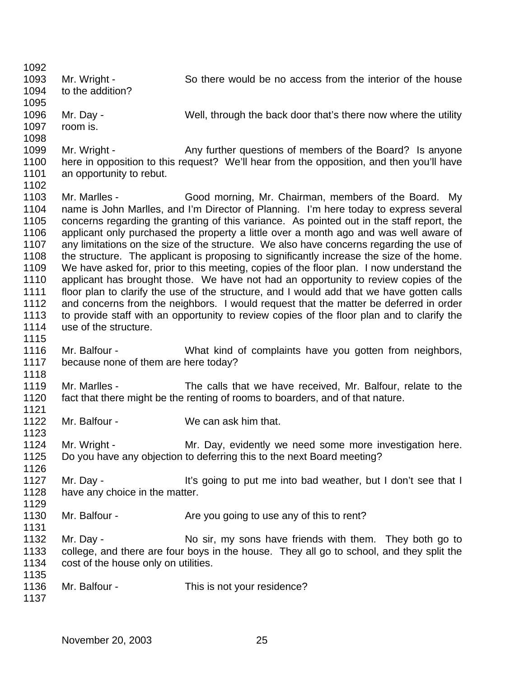Mr. Wright - So there would be no access from the interior of the house to the addition? Mr. Day - Well, through the back door that's there now where the utility room is. 1099 Mr. Wright - Any further questions of members of the Board? Is anyone here in opposition to this request? We'll hear from the opposition, and then you'll have 1101 an opportunity to rebut. Mr. Marlles - Good morning, Mr. Chairman, members of the Board. My name is John Marlles, and I'm Director of Planning. I'm here today to express several concerns regarding the granting of this variance. As pointed out in the staff report, the applicant only purchased the property a little over a month ago and was well aware of any limitations on the size of the structure. We also have concerns regarding the use of 1108 the structure. The applicant is proposing to significantly increase the size of the home. We have asked for, prior to this meeting, copies of the floor plan. I now understand the applicant has brought those. We have not had an opportunity to review copies of the floor plan to clarify the use of the structure, and I would add that we have gotten calls and concerns from the neighbors. I would request that the matter be deferred in order to provide staff with an opportunity to review copies of the floor plan and to clarify the 1114 use of the structure. Mr. Balfour - What kind of complaints have you gotten from neighbors, because none of them are here today? Mr. Marlles - The calls that we have received, Mr. Balfour, relate to the fact that there might be the renting of rooms to boarders, and of that nature. Mr. Balfour - We can ask him that. 1124 Mr. Wright - Mr. Day, evidently we need some more investigation here. Do you have any objection to deferring this to the next Board meeting? 1127 Mr. Day - It's going to put me into bad weather, but I don't see that I 1128 have any choice in the matter. 1130 Mr. Balfour - Are you going to use any of this to rent? 1132 Mr. Day - No sir, my sons have friends with them. They both go to college, and there are four boys in the house. They all go to school, and they split the 1134 cost of the house only on utilities. Mr. Balfour - This is not your residence?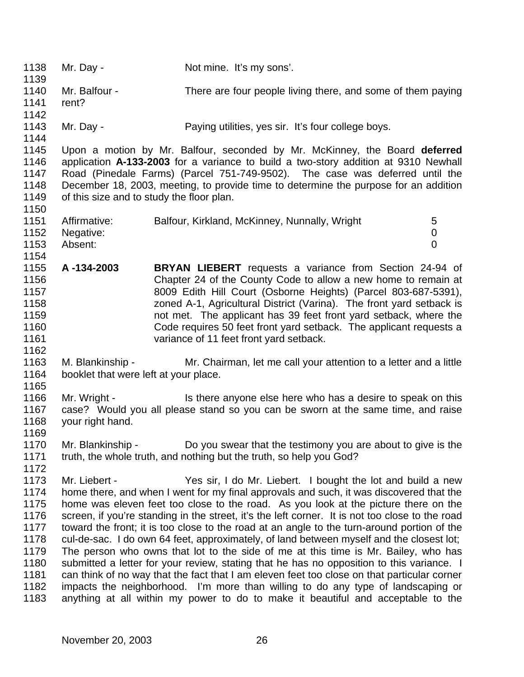1138 Mr. Day - Not mine. It's my sons'. Mr. Balfour - There are four people living there, and some of them paying rent? 1143 Mr. Day - Paying utilities, yes sir. It's four college boys. Upon a motion by Mr. Balfour, seconded by Mr. McKinney, the Board **deferred** application **A-133-2003** for a variance to build a two-story addition at 9310 Newhall Road (Pinedale Farms) (Parcel 751-749-9502). The case was deferred until the December 18, 2003, meeting, to provide time to determine the purpose for an addition of this size and to study the floor plan. 1151 Affirmative: Balfour, Kirkland, McKinney, Nunnally, Wright 5 Negative: 0 Absent: 0 **A -134-2003 BRYAN LIEBERT** requests a variance from Section 24-94 of Chapter 24 of the County Code to allow a new home to remain at 8009 Edith Hill Court (Osborne Heights) (Parcel 803-687-5391), zoned A-1, Agricultural District (Varina). The front yard setback is not met. The applicant has 39 feet front yard setback, where the Code requires 50 feet front yard setback. The applicant requests a variance of 11 feet front yard setback. M. Blankinship - Mr. Chairman, let me call your attention to a letter and a little 1164 booklet that were left at your place. 1166 Mr. Wright - Is there anyone else here who has a desire to speak on this case? Would you all please stand so you can be sworn at the same time, and raise your right hand. Mr. Blankinship - Do you swear that the testimony you are about to give is the truth, the whole truth, and nothing but the truth, so help you God? 1173 Mr. Liebert - Yes sir, I do Mr. Liebert. I bought the lot and build a new<br>1174 home there, and when I went for my final approvals and such, it was discovered that the home there, and when I went for my final approvals and such, it was discovered that the home was eleven feet too close to the road. As you look at the picture there on the 1176 screen, if you're standing in the street, it's the left corner. It is not too close to the road<br>1177 toward the front: it is too close to the road at an angle to the turn-around portion of the toward the front; it is too close to the road at an angle to the turn-around portion of the cul-de-sac. I do own 64 feet, approximately, of land between myself and the closest lot; The person who owns that lot to the side of me at this time is Mr. Bailey, who has 1180 submitted a letter for your review, stating that he has no opposition to this variance. I can think of no way that the fact that I am eleven feet too close on that particular corner impacts the neighborhood. I'm more than willing to do any type of landscaping or anything at all within my power to do to make it beautiful and acceptable to the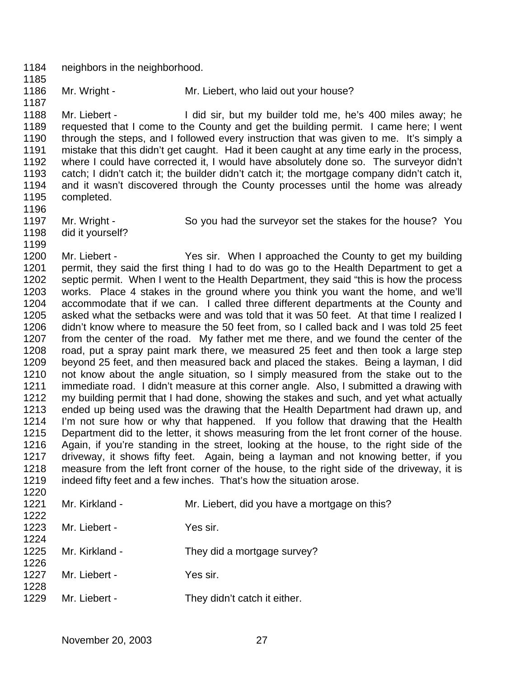neighbors in the neighborhood. 

1186 Mr. Wright - Mr. Liebert, who laid out your house?

 Mr. Liebert - I did sir, but my builder told me, he's 400 miles away; he requested that I come to the County and get the building permit. I came here; I went 1190 through the steps, and I followed every instruction that was given to me. It's simply a mistake that this didn't get caught. Had it been caught at any time early in the process, where I could have corrected it, I would have absolutely done so. The surveyor didn't catch; I didn't catch it; the builder didn't catch it; the mortgage company didn't catch it, and it wasn't discovered through the County processes until the home was already completed.

- 1197 Mr. Wright So you had the surveyor set the stakes for the house? You
- did it yourself?

1200 Mr. Liebert - Yes sir. When I approached the County to get my building 1201 permit, they said the first thing I had to do was go to the Health Department to get a septic permit. When I went to the Health Department, they said "this is how the process works. Place 4 stakes in the ground where you think you want the home, and we'll accommodate that if we can. I called three different departments at the County and asked what the setbacks were and was told that it was 50 feet. At that time I realized I didn't know where to measure the 50 feet from, so I called back and I was told 25 feet from the center of the road. My father met me there, and we found the center of the road, put a spray paint mark there, we measured 25 feet and then took a large step beyond 25 feet, and then measured back and placed the stakes. Being a layman, I did not know about the angle situation, so I simply measured from the stake out to the immediate road. I didn't measure at this corner angle. Also, I submitted a drawing with my building permit that I had done, showing the stakes and such, and yet what actually ended up being used was the drawing that the Health Department had drawn up, and I'm not sure how or why that happened. If you follow that drawing that the Health Department did to the letter, it shows measuring from the let front corner of the house. Again, if you're standing in the street, looking at the house, to the right side of the driveway, it shows fifty feet. Again, being a layman and not knowing better, if you measure from the left front corner of the house, to the right side of the driveway, it is indeed fifty feet and a few inches. That's how the situation arose.

| Mr. Kirkland - | Mr. Liebert, did you have a mortgage on this? |
|----------------|-----------------------------------------------|
|                |                                               |
| Mr. Liebert -  | Yes sir.                                      |
|                |                                               |
| Mr. Kirkland - | They did a mortgage survey?                   |
|                |                                               |
| Mr. Liebert -  | Yes sir.                                      |
|                |                                               |
| Mr. Liebert -  | They didn't catch it either.                  |
|                |                                               |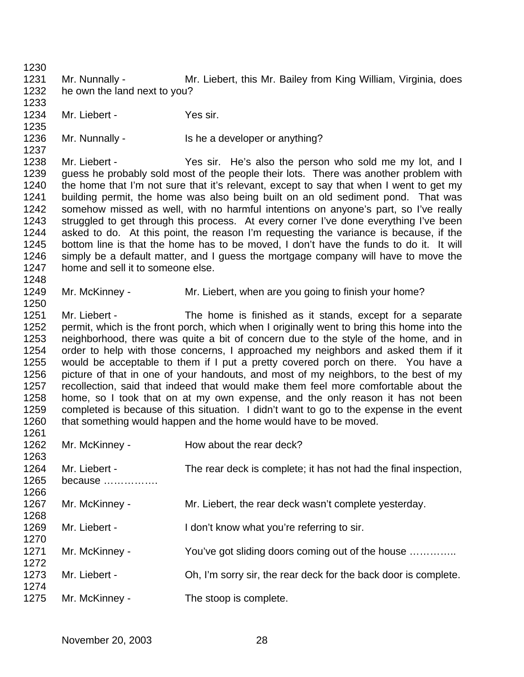Mr. Nunnally - Mr. Liebert, this Mr. Bailey from King William, Virginia, does he own the land next to you? Mr. Liebert - Yes sir. 1236 Mr. Nunnally - Is he a developer or anything? Mr. Liebert - Yes sir. He's also the person who sold me my lot, and I guess he probably sold most of the people their lots. There was another problem with the home that I'm not sure that it's relevant, except to say that when I went to get my building permit, the home was also being built on an old sediment pond. That was somehow missed as well, with no harmful intentions on anyone's part, so I've really 1243 struggled to get through this process. At every corner I've done everything I've been<br>1244 asked to do. At this point, the reason I'm requesting the variance is because, if the asked to do. At this point, the reason I'm requesting the variance is because, if the bottom line is that the home has to be moved, I don't have the funds to do it. It will simply be a default matter, and I guess the mortgage company will have to move the 1247 home and sell it to someone else. 1249 Mr. McKinney - Mr. Liebert, when are you going to finish your home? Mr. Liebert - The home is finished as it stands, except for a separate 1252 permit, which is the front porch, which when I originally went to bring this home into the neighborhood, there was quite a bit of concern due to the style of the home, and in order to help with those concerns, I approached my neighbors and asked them if it would be acceptable to them if I put a pretty covered porch on there. You have a picture of that in one of your handouts, and most of my neighbors, to the best of my recollection, said that indeed that would make them feel more comfortable about the home, so I took that on at my own expense, and the only reason it has not been completed is because of this situation. I didn't want to go to the expense in the event that something would happen and the home would have to be moved. 1262 Mr. McKinney - How about the rear deck? Mr. Liebert - The rear deck is complete; it has not had the final inspection, because ……………. 1267 Mr. McKinney - Mr. Liebert, the rear deck wasn't complete yesterday. 1269 Mr. Liebert - I don't know what you're referring to sir. 1271 Mr. McKinney - You've got sliding doors coming out of the house ............ Mr. Liebert - Oh, I'm sorry sir, the rear deck for the back door is complete. 1275 Mr. McKinney - The stoop is complete.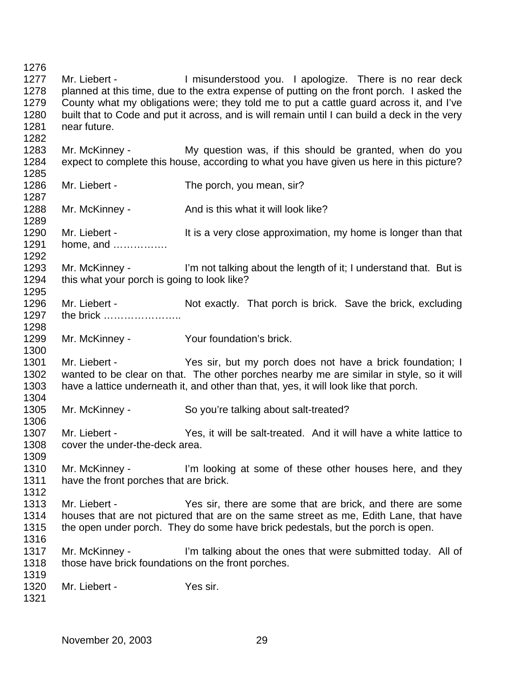1277 Mr. Liebert - Imisunderstood you. I apologize. There is no rear deck 1278 planned at this time, due to the extra expense of putting on the front porch. I asked the County what my obligations were; they told me to put a cattle guard across it, and I've built that to Code and put it across, and is will remain until I can build a deck in the very near future. Mr. McKinney - My question was, if this should be granted, when do you expect to complete this house, according to what you have given us here in this picture? 1286 Mr. Liebert - The porch, you mean, sir? 1288 Mr. McKinney - And is this what it will look like? 1289<br>1290 Mr. Liebert - The It is a very close approximation, my home is longer than that home, and ……………. 1293 Mr. McKinney - I'm not talking about the length of it; I understand that. But is 1294 this what your porch is going to look like? 1296 Mr. Liebert - Not exactly. That porch is brick. Save the brick, excluding the brick ………………….. Mr. McKinney - Your foundation's brick. Mr. Liebert - Yes sir, but my porch does not have a brick foundation; I wanted to be clear on that. The other porches nearby me are similar in style, so it will have a lattice underneath it, and other than that, yes, it will look like that porch. Mr. McKinney - So you're talking about salt-treated? Mr. Liebert - Yes, it will be salt-treated. And it will have a white lattice to cover the under-the-deck area. 1310 Mr. McKinney - I'm looking at some of these other houses here, and they have the front porches that are brick. Mr. Liebert - Yes sir, there are some that are brick, and there are some houses that are not pictured that are on the same street as me, Edith Lane, that have the open under porch. They do some have brick pedestals, but the porch is open. 1317 Mr. McKinney - I'm talking about the ones that were submitted today. All of 1318 those have brick foundations on the front porches. Mr. Liebert - Yes sir.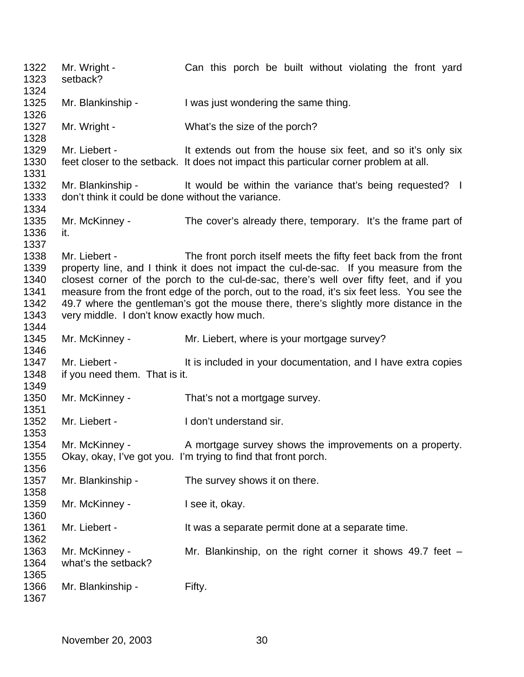1322 Mr. Wright - Can this porch be built without violating the front yard setback? 1325 Mr. Blankinship - I was just wondering the same thing. 1327 Mr. Wright - What's the size of the porch? 1329 Mr. Liebert - It extends out from the house six feet, and so it's only six feet closer to the setback. It does not impact this particular corner problem at all. 1332 Mr. Blankinship - It would be within the variance that's being requested? I don't think it could be done without the variance. Mr. McKinney - The cover's already there, temporary. It's the frame part of it. Mr. Liebert - The front porch itself meets the fifty feet back from the front property line, and I think it does not impact the cul-de-sac. If you measure from the 1340 closest corner of the porch to the cul-de-sac, there's well over fifty feet, and if you<br>1341 measure from the front edge of the porch, out to the road, it's six feet less. You see the measure from the front edge of the porch, out to the road, it's six feet less. You see the 49.7 where the gentleman's got the mouse there, there's slightly more distance in the very middle. I don't know exactly how much. 1345 Mr. McKinney - Mr. Liebert, where is your mortgage survey? 1347 Mr. Liebert - It is included in your documentation, and I have extra copies if you need them. That is it. 1350 Mr. McKinney - That's not a mortgage survey. 1352 Mr. Liebert - I don't understand sir. 1354 Mr. McKinney - A mortgage survey shows the improvements on a property. Okay, okay, I've got you. I'm trying to find that front porch. 1357 Mr. Blankinship - The survey shows it on there. 1359 Mr. McKinney - I see it, okay. 1361 Mr. Liebert - It was a separate permit done at a separate time. Mr. McKinney - Mr. Blankinship, on the right corner it shows 49.7 feet – what's the setback? 1366 Mr. Blankinship - Fifty.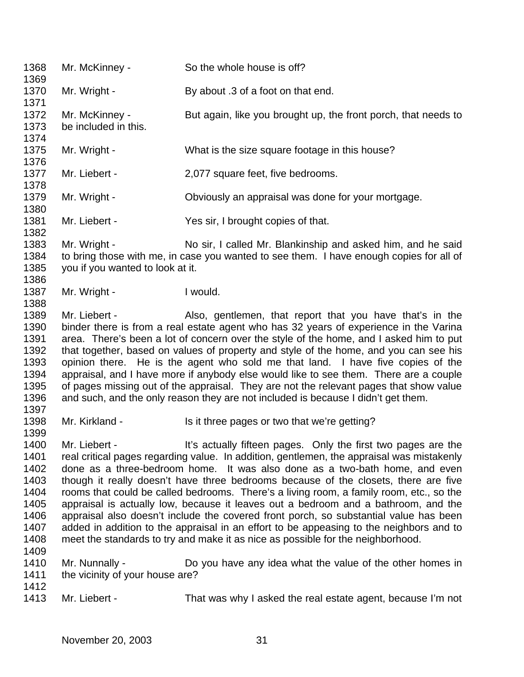Mr. McKinney - So the whole house is off? 1370 Mr. Wright - By about .3 of a foot on that end. 1372 Mr. McKinney - But again, like you brought up, the front porch, that needs to be included in this. 1375 Mr. Wright - What is the size square footage in this house? 1377 Mr. Liebert - 2,077 square feet, five bedrooms. 1379 Mr. Wright - Chiviously an appraisal was done for your mortgage. Mr. Liebert - Yes sir, I brought copies of that. Mr. Wright - No sir, I called Mr. Blankinship and asked him, and he said to bring those with me, in case you wanted to see them. I have enough copies for all of you if you wanted to look at it. 1387 Mr. Wright - I would. 1389 Mr. Liebert - Also, gentlemen, that report that you have that's in the binder there is from a real estate agent who has 32 years of experience in the Varina area. There's been a lot of concern over the style of the home, and I asked him to put that together, based on values of property and style of the home, and you can see his opinion there. He is the agent who sold me that land. I have five copies of the appraisal, and I have more if anybody else would like to see them. There are a couple of pages missing out of the appraisal. They are not the relevant pages that show value and such, and the only reason they are not included is because I didn't get them. 1398 Mr. Kirkland - Is it three pages or two that we're getting? 1400 Mr. Liebert - It's actually fifteen pages. Only the first two pages are the real critical pages regarding value. In addition, gentlemen, the appraisal was mistakenly done as a three-bedroom home. It was also done as a two-bath home, and even though it really doesn't have three bedrooms because of the closets, there are five rooms that could be called bedrooms. There's a living room, a family room, etc., so the appraisal is actually low, because it leaves out a bedroom and a bathroom, and the appraisal also doesn't include the covered front porch, so substantial value has been added in addition to the appraisal in an effort to be appeasing to the neighbors and to meet the standards to try and make it as nice as possible for the neighborhood. Mr. Nunnally - Do you have any idea what the value of the other homes in 1411 the vicinity of your house are? Mr. Liebert - That was why I asked the real estate agent, because I'm not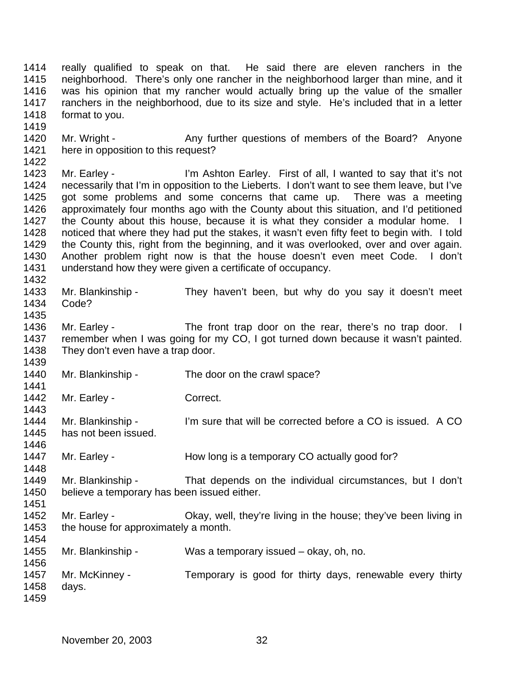really qualified to speak on that. He said there are eleven ranchers in the neighborhood. There's only one rancher in the neighborhood larger than mine, and it was his opinion that my rancher would actually bring up the value of the smaller ranchers in the neighborhood, due to its size and style. He's included that in a letter format to you.

1420 Mr. Wright - Any further questions of members of the Board? Anyone here in opposition to this request? 

 Mr. Earley - I'm Ashton Earley. First of all, I wanted to say that it's not necessarily that I'm in opposition to the Lieberts. I don't want to see them leave, but I've got some problems and some concerns that came up. There was a meeting approximately four months ago with the County about this situation, and I'd petitioned 1427 the County about this house, because it is what they consider a modular home. I<br>1428 noticed that where they had put the stakes, it wasn't even fifty feet to begin with. I told noticed that where they had put the stakes, it wasn't even fifty feet to begin with. I told the County this, right from the beginning, and it was overlooked, over and over again. Another problem right now is that the house doesn't even meet Code. I don't understand how they were given a certificate of occupancy. 

 Mr. Blankinship - They haven't been, but why do you say it doesn't meet Code? 

1436 Mr. Earley - The front trap door on the rear, there's no trap door. I remember when I was going for my CO, I got turned down because it wasn't painted. They don't even have a trap door.

1440 Mr. Blankinship - The door on the crawl space?

1442 Mr. Earley - Correct.

 Mr. Blankinship - I'm sure that will be corrected before a CO is issued. A CO has not been issued.

1447 Mr. Earley - How long is a temporary CO actually good for?

 Mr. Blankinship - That depends on the individual circumstances, but I don't believe a temporary has been issued either.

1452 Mr. Earley - Ckay, well, they're living in the house; they've been living in 1453 the house for approximately a month.

Mr. Blankinship - Was a temporary issued – okay, oh, no.

 Mr. McKinney - Temporary is good for thirty days, renewable every thirty days.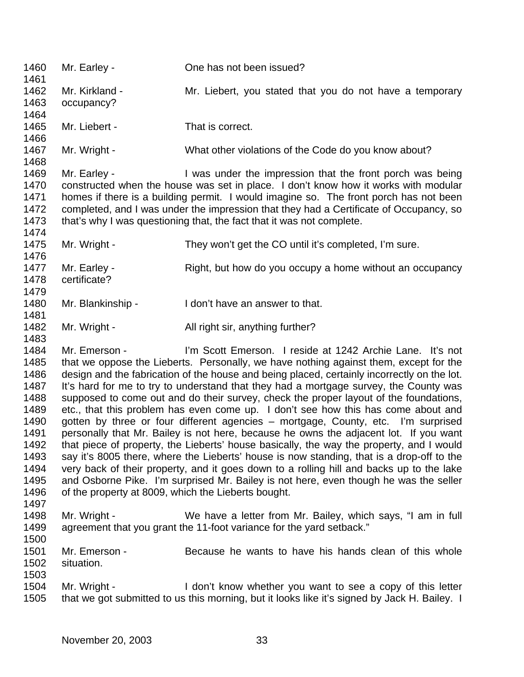Mr. Earley - One has not been issued? Mr. Kirkland - Mr. Liebert, you stated that you do not have a temporary occupancy? 1465 Mr. Liebert - That is correct. 1467 Mr. Wright - What other violations of the Code do you know about? 1469 Mr. Earley - I was under the impression that the front porch was being constructed when the house was set in place. I don't know how it works with modular homes if there is a building permit. I would imagine so. The front porch has not been completed, and I was under the impression that they had a Certificate of Occupancy, so 1473 that's why I was questioning that, the fact that it was not complete. 1475 Mr. Wright - They won't get the CO until it's completed, I'm sure. 1477 Mr. Earley - Right, but how do you occupy a home without an occupancy certificate? 1480 Mr. Blankinship - I don't have an answer to that. 1482 Mr. Wright - All right sir, anything further? Mr. Emerson - I'm Scott Emerson. I reside at 1242 Archie Lane. It's not that we oppose the Lieberts. Personally, we have nothing against them, except for the design and the fabrication of the house and being placed, certainly incorrectly on the lot. 1487 It's hard for me to try to understand that they had a mortgage survey, the County was 1488 supposed to come out and do their survey, check the proper layout of the foundations,<br>1489 etc., that this problem has even come up. I don't see how this has come about and etc., that this problem has even come up. I don't see how this has come about and gotten by three or four different agencies – mortgage, County, etc. I'm surprised personally that Mr. Bailey is not here, because he owns the adjacent lot. If you want that piece of property, the Lieberts' house basically, the way the property, and I would say it's 8005 there, where the Lieberts' house is now standing, that is a drop-off to the very back of their property, and it goes down to a rolling hill and backs up to the lake and Osborne Pike. I'm surprised Mr. Bailey is not here, even though he was the seller of the property at 8009, which the Lieberts bought. 1498 Mr. Wright - We have a letter from Mr. Bailey, which says, "I am in full 1499 agreement that you grant the 11-foot variance for the vard setback." agreement that you grant the 11-foot variance for the vard setback." Mr. Emerson - Because he wants to have his hands clean of this whole situation. Mr. Wright - I don't know whether you want to see a copy of this letter that we got submitted to us this morning, but it looks like it's signed by Jack H. Bailey. I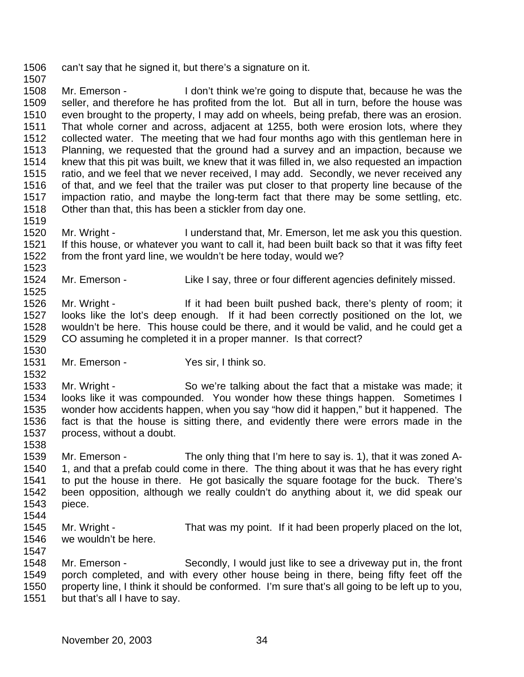can't say that he signed it, but there's a signature on it. 

 Mr. Emerson - I don't think we're going to dispute that, because he was the seller, and therefore he has profited from the lot. But all in turn, before the house was even brought to the property, I may add on wheels, being prefab, there was an erosion. That whole corner and across, adjacent at 1255, both were erosion lots, where they collected water. The meeting that we had four months ago with this gentleman here in Planning, we requested that the ground had a survey and an impaction, because we knew that this pit was built, we knew that it was filled in, we also requested an impaction ratio, and we feel that we never received, I may add. Secondly, we never received any of that, and we feel that the trailer was put closer to that property line because of the impaction ratio, and maybe the long-term fact that there may be some settling, etc. Other than that, this has been a stickler from day one.

- Mr. Wright I understand that, Mr. Emerson, let me ask you this question. If this house, or whatever you want to call it, had been built back so that it was fifty feet from the front yard line, we wouldn't be here today, would we?
- Mr. Emerson Like I say, three or four different agencies definitely missed.

 Mr. Wright - If it had been built pushed back, there's plenty of room; it looks like the lot's deep enough. If it had been correctly positioned on the lot, we wouldn't be here. This house could be there, and it would be valid, and he could get a CO assuming he completed it in a proper manner. Is that correct? 

Mr. Emerson - Yes sir, I think so.

 Mr. Wright - So we're talking about the fact that a mistake was made; it looks like it was compounded. You wonder how these things happen. Sometimes I wonder how accidents happen, when you say "how did it happen," but it happened. The fact is that the house is sitting there, and evidently there were errors made in the process, without a doubt.

- Mr. Emerson - The only thing that I'm here to say is. 1), that it was zoned A-1540 1, and that a prefab could come in there. The thing about it was that he has every right to put the house in there. He got basically the square footage for the buck. There's been opposition, although we really couldn't do anything about it, we did speak our piece.
- 

- Mr. Wright That was my point. If it had been properly placed on the lot, we wouldn't be here.
- Mr. Emerson Secondly, I would just like to see a driveway put in, the front porch completed, and with every other house being in there, being fifty feet off the property line, I think it should be conformed. I'm sure that's all going to be left up to you, but that's all I have to say.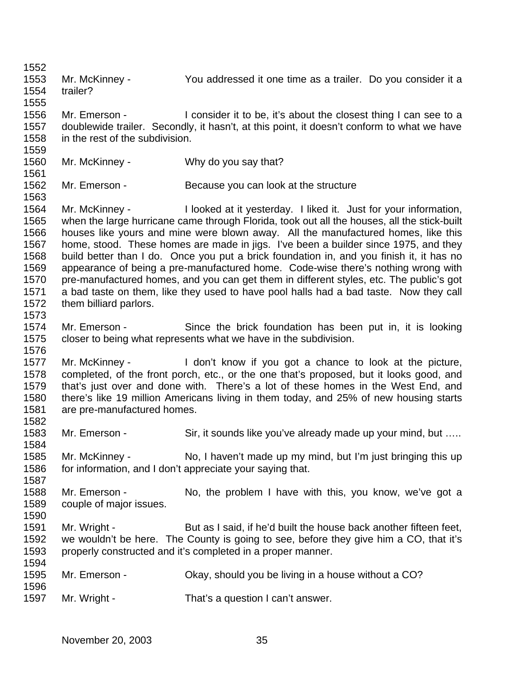Mr. McKinney - You addressed it one time as a trailer. Do you consider it a trailer? Mr. Emerson - I consider it to be, it's about the closest thing I can see to a doublewide trailer. Secondly, it hasn't, at this point, it doesn't conform to what we have in the rest of the subdivision. Mr. McKinney - Why do you say that? 1562 Mr. Emerson - Because you can look at the structure Mr. McKinney - I looked at it yesterday. I liked it. Just for your information, when the large hurricane came through Florida, took out all the houses, all the stick-built houses like yours and mine were blown away. All the manufactured homes, like this home, stood. These homes are made in jigs. I've been a builder since 1975, and they build better than I do. Once you put a brick foundation in, and you finish it, it has no appearance of being a pre-manufactured home. Code-wise there's nothing wrong with pre-manufactured homes, and you can get them in different styles, etc. The public's got a bad taste on them, like they used to have pool halls had a bad taste. Now they call them billiard parlors. Mr. Emerson - Since the brick foundation has been put in, it is looking closer to being what represents what we have in the subdivision. Mr. McKinney - I don't know if you got a chance to look at the picture, completed, of the front porch, etc., or the one that's proposed, but it looks good, and that's just over and done with. There's a lot of these homes in the West End, and there's like 19 million Americans living in them today, and 25% of new housing starts are pre-manufactured homes. 1583 Mr. Emerson - Sir, it sounds like you've already made up your mind, but .... Mr. McKinney - No, I haven't made up my mind, but I'm just bringing this up for information, and I don't appreciate your saying that. Mr. Emerson - No, the problem I have with this, you know, we've got a couple of major issues. Mr. Wright - But as I said, if he'd built the house back another fifteen feet, we wouldn't be here. The County is going to see, before they give him a CO, that it's properly constructed and it's completed in a proper manner. Mr. Emerson - Okay, should you be living in a house without a CO? Mr. Wright - That's a question I can't answer.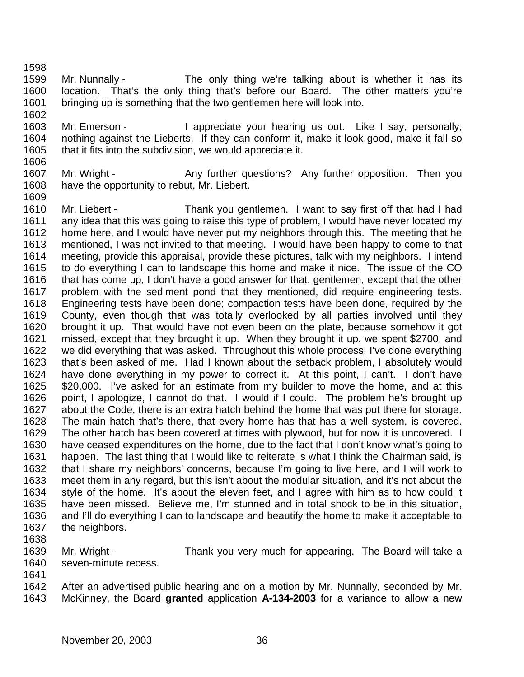- Mr. Nunnally The only thing we're talking about is whether it has its location. That's the only thing that's before our Board. The other matters you're bringing up is something that the two gentlemen here will look into.
- 1603 Mr. Emerson I appreciate your hearing us out. Like I say, personally, nothing against the Lieberts. If they can conform it, make it look good, make it fall so that it fits into the subdivision, we would appreciate it.
- 1607 Mr. Wright Any further questions? Any further opposition. Then you have the opportunity to rebut, Mr. Liebert.
- Mr. Liebert Thank you gentlemen. I want to say first off that had I had any idea that this was going to raise this type of problem, I would have never located my home here, and I would have never put my neighbors through this. The meeting that he mentioned, I was not invited to that meeting. I would have been happy to come to that meeting, provide this appraisal, provide these pictures, talk with my neighbors. I intend to do everything I can to landscape this home and make it nice. The issue of the CO that has come up, I don't have a good answer for that, gentlemen, except that the other problem with the sediment pond that they mentioned, did require engineering tests. Engineering tests have been done; compaction tests have been done, required by the County, even though that was totally overlooked by all parties involved until they brought it up. That would have not even been on the plate, because somehow it got missed, except that they brought it up. When they brought it up, we spent \$2700, and we did everything that was asked. Throughout this whole process, I've done everything that's been asked of me. Had I known about the setback problem, I absolutely would have done everything in my power to correct it. At this point, I can't. I don't have \$20,000. I've asked for an estimate from my builder to move the home, and at this point, I apologize, I cannot do that. I would if I could. The problem he's brought up about the Code, there is an extra hatch behind the home that was put there for storage. The main hatch that's there, that every home has that has a well system, is covered. The other hatch has been covered at times with plywood, but for now it is uncovered. I have ceased expenditures on the home, due to the fact that I don't know what's going to happen. The last thing that I would like to reiterate is what I think the Chairman said, is that I share my neighbors' concerns, because I'm going to live here, and I will work to meet them in any regard, but this isn't about the modular situation, and it's not about the style of the home. It's about the eleven feet, and I agree with him as to how could it have been missed. Believe me, I'm stunned and in total shock to be in this situation, and I'll do everything I can to landscape and beautify the home to make it acceptable to the neighbors.
- 

- Mr. Wright Thank you very much for appearing. The Board will take a seven-minute recess.
- 

 After an advertised public hearing and on a motion by Mr. Nunnally, seconded by Mr. McKinney, the Board **granted** application **A-134-2003** for a variance to allow a new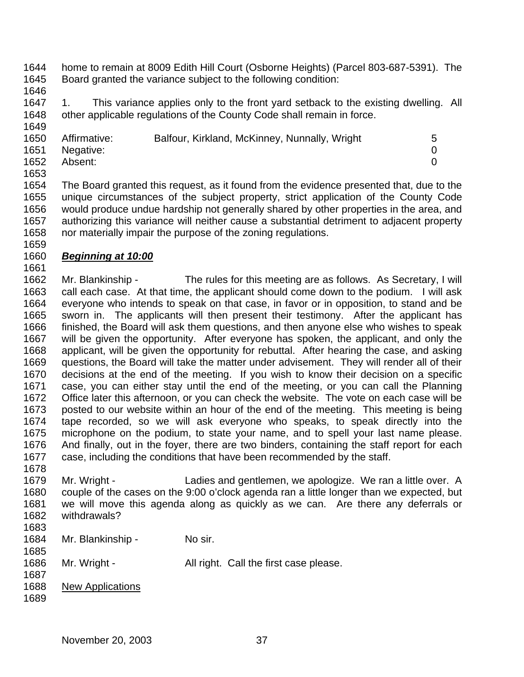- home to remain at 8009 Edith Hill Court (Osborne Heights) (Parcel 803-687-5391). The Board granted the variance subject to the following condition:
- 

 1. This variance applies only to the front yard setback to the existing dwelling. All other applicable regulations of the County Code shall remain in force.

| 1650 | Affirmative:   | Balfour, Kirkland, McKinney, Nunnally, Wright | 5 |
|------|----------------|-----------------------------------------------|---|
|      | 1651 Negative: |                                               |   |
| 1652 | Absent:        |                                               |   |
| 1653 |                |                                               |   |

 The Board granted this request, as it found from the evidence presented that, due to the unique circumstances of the subject property, strict application of the County Code would produce undue hardship not generally shared by other properties in the area, and authorizing this variance will neither cause a substantial detriment to adjacent property nor materially impair the purpose of the zoning regulations.

## *Beginning at 10:00*

 Mr. Blankinship - The rules for this meeting are as follows. As Secretary, I will call each case. At that time, the applicant should come down to the podium. I will ask everyone who intends to speak on that case, in favor or in opposition, to stand and be sworn in. The applicants will then present their testimony. After the applicant has finished, the Board will ask them questions, and then anyone else who wishes to speak will be given the opportunity. After everyone has spoken, the applicant, and only the applicant, will be given the opportunity for rebuttal. After hearing the case, and asking questions, the Board will take the matter under advisement. They will render all of their decisions at the end of the meeting. If you wish to know their decision on a specific case, you can either stay until the end of the meeting, or you can call the Planning 1672 Office later this afternoon, or you can check the website. The vote on each case will be<br>1673 posted to our website within an hour of the end of the meeting. This meeting is being posted to our website within an hour of the end of the meeting. This meeting is being tape recorded, so we will ask everyone who speaks, to speak directly into the microphone on the podium, to state your name, and to spell your last name please. And finally, out in the foyer, there are two binders, containing the staff report for each case, including the conditions that have been recommended by the staff.

- Mr. Wright - Ladies and gentlemen, we apologize. We ran a little over. A couple of the cases on the 9:00 o'clock agenda ran a little longer than we expected, but we will move this agenda along as quickly as we can. Are there any deferrals or withdrawals?
- 
- 1684 Mr. Blankinship No sir.
- 1686 Mr. Wright All right. Call the first case please.
- New Applications
	- November 20, 2003 37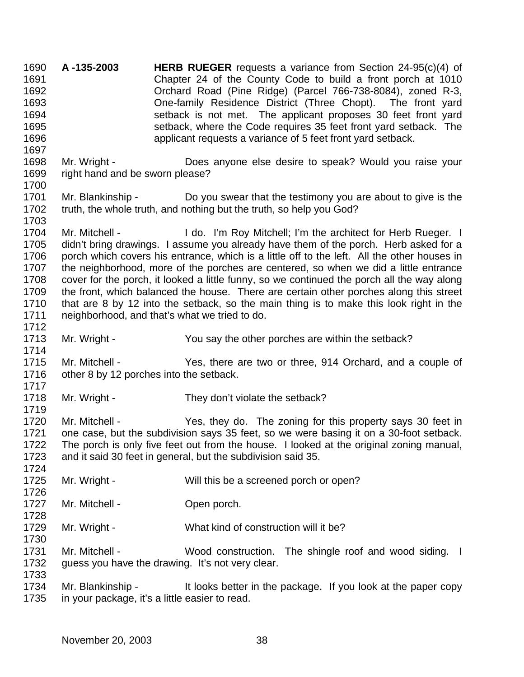**A -135-2003 HERB RUEGER** requests a variance from Section 24-95(c)(4) of Chapter 24 of the County Code to build a front porch at 1010 Orchard Road (Pine Ridge) (Parcel 766-738-8084), zoned R-3, One-family Residence District (Three Chopt). The front yard setback is not met. The applicant proposes 30 feet front yard setback, where the Code requires 35 feet front yard setback. The applicant requests a variance of 5 feet front yard setback. Mr. Wright - Does anyone else desire to speak? Would you raise your right hand and be sworn please? Mr. Blankinship - Do you swear that the testimony you are about to give is the truth, the whole truth, and nothing but the truth, so help you God? 1703<br>1704 Mr. Mitchell - The I do. I'm Roy Mitchell; I'm the architect for Herb Rueger. I didn't bring drawings. I assume you already have them of the porch. Herb asked for a 1706 porch which covers his entrance, which is a little off to the left. All the other houses in the neighborhood, more of the porches are centered, so when we did a little entrance cover for the porch, it looked a little funny, so we continued the porch all the way along the front, which balanced the house. There are certain other porches along this street that are 8 by 12 into the setback, so the main thing is to make this look right in the neighborhood, and that's what we tried to do. 1713 Mr. Wright - You say the other porches are within the setback? Mr. Mitchell - Yes, there are two or three, 914 Orchard, and a couple of other 8 by 12 porches into the setback. 1718 Mr. Wright - They don't violate the setback? Mr. Mitchell - Yes, they do. The zoning for this property says 30 feet in one case, but the subdivision says 35 feet, so we were basing it on a 30-foot setback. The porch is only five feet out from the house. I looked at the original zoning manual, and it said 30 feet in general, but the subdivision said 35. 1725 Mr. Wright - Will this be a screened porch or open? 1727 Mr. Mitchell - Open porch. Mr. Wright - What kind of construction will it be? 1731 Mr. Mitchell - Wood construction. The shingle roof and wood siding. I guess you have the drawing. It's not very clear. Mr. Blankinship - It looks better in the package. If you look at the paper copy in your package, it's a little easier to read.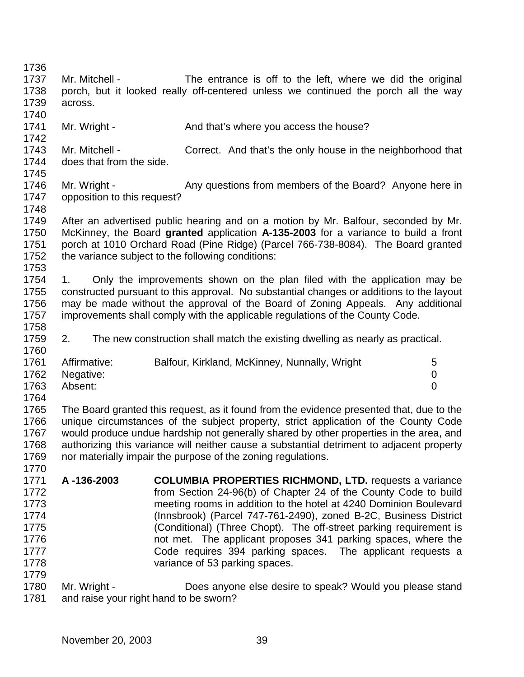| 1736 |                                        |                                                                                           |                |
|------|----------------------------------------|-------------------------------------------------------------------------------------------|----------------|
| 1737 | Mr. Mitchell -                         | The entrance is off to the left, where we did the original                                |                |
| 1738 |                                        | porch, but it looked really off-centered unless we continued the porch all the way        |                |
| 1739 | across.                                |                                                                                           |                |
| 1740 |                                        |                                                                                           |                |
| 1741 |                                        | And that's where you access the house?                                                    |                |
| 1742 | Mr. Wright -                           |                                                                                           |                |
|      | Mr. Mitchell -                         |                                                                                           |                |
| 1743 |                                        | Correct. And that's the only house in the neighborhood that                               |                |
| 1744 | does that from the side.               |                                                                                           |                |
| 1745 |                                        |                                                                                           |                |
| 1746 | Mr. Wright -                           | Any questions from members of the Board? Anyone here in                                   |                |
| 1747 | opposition to this request?            |                                                                                           |                |
| 1748 |                                        |                                                                                           |                |
| 1749 |                                        | After an advertised public hearing and on a motion by Mr. Balfour, seconded by Mr.        |                |
| 1750 |                                        | McKinney, the Board granted application A-135-2003 for a variance to build a front        |                |
| 1751 |                                        | porch at 1010 Orchard Road (Pine Ridge) (Parcel 766-738-8084). The Board granted          |                |
| 1752 |                                        | the variance subject to the following conditions:                                         |                |
| 1753 |                                        |                                                                                           |                |
| 1754 | 1.                                     | Only the improvements shown on the plan filed with the application may be                 |                |
| 1755 |                                        | constructed pursuant to this approval. No substantial changes or additions to the layout  |                |
| 1756 |                                        | may be made without the approval of the Board of Zoning Appeals. Any additional           |                |
| 1757 |                                        | improvements shall comply with the applicable regulations of the County Code.             |                |
| 1758 |                                        |                                                                                           |                |
| 1759 | 2.                                     | The new construction shall match the existing dwelling as nearly as practical.            |                |
| 1760 |                                        |                                                                                           |                |
| 1761 | Affirmative:                           | Balfour, Kirkland, McKinney, Nunnally, Wright                                             | 5              |
| 1762 | Negative:                              |                                                                                           | 0              |
| 1763 | Absent:                                |                                                                                           | $\overline{0}$ |
| 1764 |                                        |                                                                                           |                |
| 1765 |                                        | The Board granted this request, as it found from the evidence presented that, due to the  |                |
| 1766 |                                        | unique circumstances of the subject property, strict application of the County Code       |                |
| 1767 |                                        | would produce undue hardship not generally shared by other properties in the area, and    |                |
| 1768 |                                        | authorizing this variance will neither cause a substantial detriment to adjacent property |                |
| 1769 |                                        | nor materially impair the purpose of the zoning regulations.                              |                |
| 1770 |                                        |                                                                                           |                |
| 1771 | A-136-2003                             | <b>COLUMBIA PROPERTIES RICHMOND, LTD. requests a variance</b>                             |                |
| 1772 |                                        | from Section 24-96(b) of Chapter 24 of the County Code to build                           |                |
|      |                                        |                                                                                           |                |
| 1773 |                                        | meeting rooms in addition to the hotel at 4240 Dominion Boulevard                         |                |
| 1774 |                                        | (Innsbrook) (Parcel 747-761-2490), zoned B-2C, Business District                          |                |
| 1775 |                                        | (Conditional) (Three Chopt). The off-street parking requirement is                        |                |
| 1776 |                                        | not met. The applicant proposes 341 parking spaces, where the                             |                |
| 1777 |                                        | Code requires 394 parking spaces. The applicant requests a                                |                |
| 1778 |                                        | variance of 53 parking spaces.                                                            |                |
| 1779 |                                        |                                                                                           |                |
| 1780 | Mr. Wright -                           | Does anyone else desire to speak? Would you please stand                                  |                |
| 1781 | and raise your right hand to be sworn? |                                                                                           |                |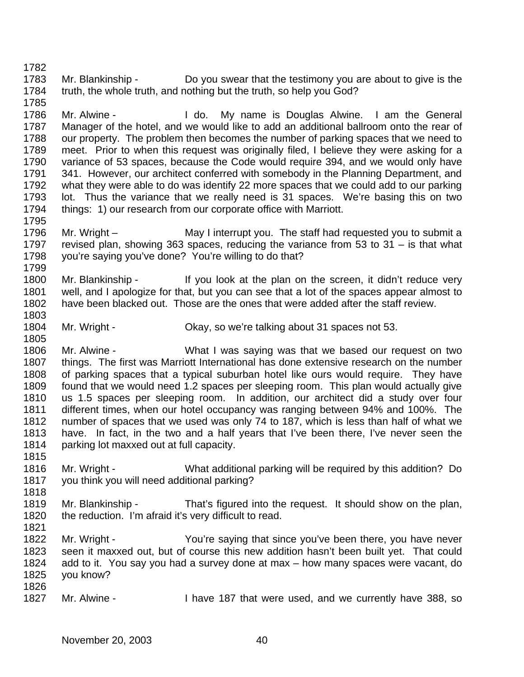Mr. Blankinship - Do you swear that the testimony you are about to give is the truth, the whole truth, and nothing but the truth, so help you God?

1786 Mr. Alwine - I do. My name is Douglas Alwine. I am the General Manager of the hotel, and we would like to add an additional ballroom onto the rear of our property. The problem then becomes the number of parking spaces that we need to meet. Prior to when this request was originally filed, I believe they were asking for a variance of 53 spaces, because the Code would require 394, and we would only have 341. However, our architect conferred with somebody in the Planning Department, and what they were able to do was identify 22 more spaces that we could add to our parking lot. Thus the variance that we really need is 31 spaces. We're basing this on two things: 1) our research from our corporate office with Marriott.

- 1795<br>1796 Mr. Wright – The Staff had requested you to submit a revised plan, showing 363 spaces, reducing the variance from 53 to 31 – is that what you're saying you've done? You're willing to do that?
- 1800 Mr. Blankinship If you look at the plan on the screen, it didn't reduce very well, and I apologize for that, but you can see that a lot of the spaces appear almost to have been blacked out. Those are the ones that were added after the staff review.
- Mr. Wright Okay, so we're talking about 31 spaces not 53.

 Mr. Alwine - What I was saying was that we based our request on two things. The first was Marriott International has done extensive research on the number of parking spaces that a typical suburban hotel like ours would require. They have found that we would need 1.2 spaces per sleeping room. This plan would actually give us 1.5 spaces per sleeping room. In addition, our architect did a study over four different times, when our hotel occupancy was ranging between 94% and 100%. The number of spaces that we used was only 74 to 187, which is less than half of what we have. In fact, in the two and a half years that I've been there, I've never seen the parking lot maxxed out at full capacity.

- Mr. Wright What additional parking will be required by this addition? Do you think you will need additional parking?
- Mr. Blankinship That's figured into the request. It should show on the plan, the reduction. I'm afraid it's very difficult to read.
- Mr. Wright You're saying that since you've been there, you have never seen it maxxed out, but of course this new addition hasn't been built yet. That could add to it. You say you had a survey done at max – how many spaces were vacant, do you know?
- Mr. Alwine I have 187 that were used, and we currently have 388, so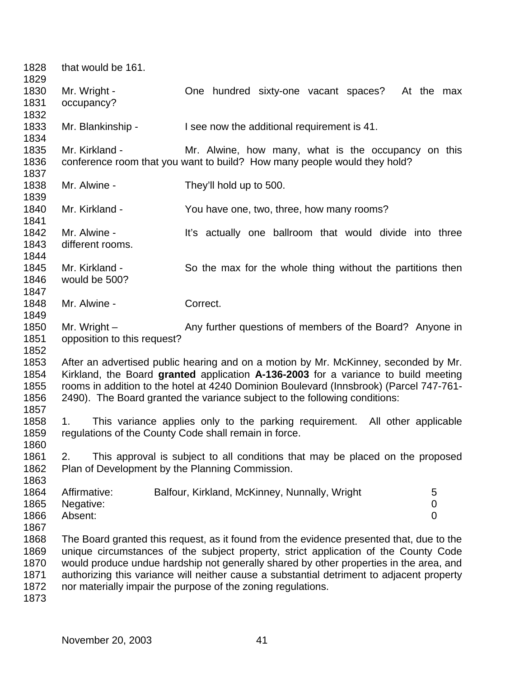| 1828<br>1829 | that would be 161.                              |                                                                                           |                  |
|--------------|-------------------------------------------------|-------------------------------------------------------------------------------------------|------------------|
| 1830         | Mr. Wright -                                    | One hundred sixty-one vacant spaces?<br>At the max                                        |                  |
| 1831         | occupancy?                                      |                                                                                           |                  |
| 1832         |                                                 |                                                                                           |                  |
| 1833         | Mr. Blankinship -                               | I see now the additional requirement is 41.                                               |                  |
| 1834         |                                                 |                                                                                           |                  |
| 1835         | Mr. Kirkland -                                  | Mr. Alwine, how many, what is the occupancy on this                                       |                  |
| 1836         |                                                 | conference room that you want to build? How many people would they hold?                  |                  |
| 1837         |                                                 |                                                                                           |                  |
| 1838         | Mr. Alwine -                                    | They'll hold up to 500.                                                                   |                  |
| 1839         |                                                 |                                                                                           |                  |
| 1840         | Mr. Kirkland -                                  | You have one, two, three, how many rooms?                                                 |                  |
| 1841         |                                                 |                                                                                           |                  |
| 1842         | Mr. Alwine -                                    | It's actually one ballroom that would divide into three                                   |                  |
| 1843         | different rooms.                                |                                                                                           |                  |
| 1844         |                                                 |                                                                                           |                  |
| 1845         | Mr. Kirkland -                                  | So the max for the whole thing without the partitions then                                |                  |
| 1846         | would be 500?                                   |                                                                                           |                  |
| 1847         |                                                 |                                                                                           |                  |
| 1848         |                                                 | Correct.                                                                                  |                  |
|              | Mr. Alwine -                                    |                                                                                           |                  |
| 1849         |                                                 |                                                                                           |                  |
| 1850         | Mr. Wright $-$                                  | Any further questions of members of the Board? Anyone in                                  |                  |
| 1851         | opposition to this request?                     |                                                                                           |                  |
| 1852         |                                                 |                                                                                           |                  |
| 1853         |                                                 | After an advertised public hearing and on a motion by Mr. McKinney, seconded by Mr.       |                  |
| 1854         |                                                 | Kirkland, the Board granted application A-136-2003 for a variance to build meeting        |                  |
| 1855         |                                                 | rooms in addition to the hotel at 4240 Dominion Boulevard (Innsbrook) (Parcel 747-761-    |                  |
| 1856         |                                                 | 2490). The Board granted the variance subject to the following conditions:                |                  |
| 1857         |                                                 |                                                                                           |                  |
| 1858         | 1.                                              | This variance applies only to the parking requirement. All other applicable               |                  |
| 1859         |                                                 | regulations of the County Code shall remain in force.                                     |                  |
| 1860         |                                                 |                                                                                           |                  |
| 1861         | 2.                                              | This approval is subject to all conditions that may be placed on the proposed             |                  |
| 1862         | Plan of Development by the Planning Commission. |                                                                                           |                  |
| 1863         |                                                 |                                                                                           |                  |
| 1864         | Affirmative:                                    | Balfour, Kirkland, McKinney, Nunnally, Wright                                             | 5                |
| 1865         | Negative:                                       |                                                                                           | $\boldsymbol{0}$ |
| 1866         | Absent:                                         |                                                                                           | $\overline{0}$   |
| 1867         |                                                 |                                                                                           |                  |
| 1868         |                                                 | The Board granted this request, as it found from the evidence presented that, due to the  |                  |
| 1869         |                                                 | unique circumstances of the subject property, strict application of the County Code       |                  |
| 1870         |                                                 | would produce undue hardship not generally shared by other properties in the area, and    |                  |
| 1871         |                                                 | authorizing this variance will neither cause a substantial detriment to adjacent property |                  |
| 1872         |                                                 | nor materially impair the purpose of the zoning regulations.                              |                  |
| 1873         |                                                 |                                                                                           |                  |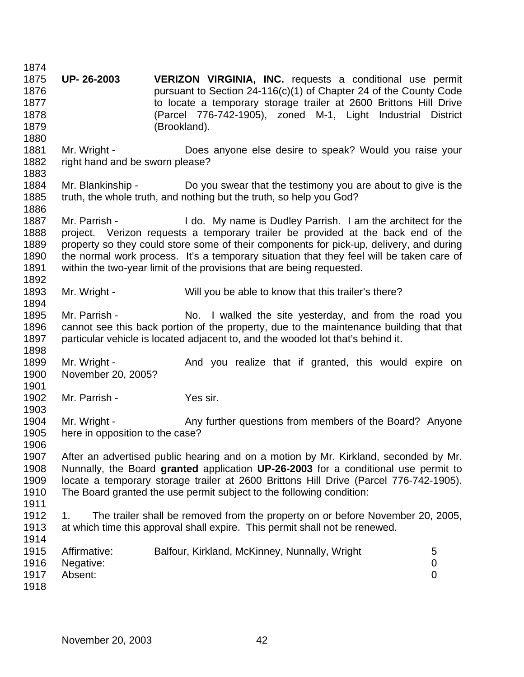**UP- 26-2003 VERIZON VIRGINIA, INC.** requests a conditional use permit pursuant to Section 24-116(c)(1) of Chapter 24 of the County Code to locate a temporary storage trailer at 2600 Brittons Hill Drive (Parcel 776-742-1905), zoned M-1, Light Industrial District (Brookland). Mr. Wright - Does anyone else desire to speak? Would you raise your right hand and be sworn please? Mr. Blankinship - Do you swear that the testimony you are about to give is the truth, the whole truth, and nothing but the truth, so help you God? 1887 Mr. Parrish - I do. My name is Dudley Parrish. I am the architect for the project. Verizon requests a temporary trailer be provided at the back end of the property so they could store some of their components for pick-up, delivery, and during the normal work process. It's a temporary situation that they feel will be taken care of within the two-year limit of the provisions that are being requested. 1893 Mr. Wright - Will you be able to know that this trailer's there? 1895 Mr. Parrish - No. I walked the site yesterday, and from the road you cannot see this back portion of the property, due to the maintenance building that that particular vehicle is located adjacent to, and the wooded lot that's behind it. 1899 Mr. Wright - And you realize that if granted, this would expire on November 20, 2005? Mr. Parrish - Yes sir. 1904 Mr. Wright - Any further questions from members of the Board? Anyone here in opposition to the case? After an advertised public hearing and on a motion by Mr. Kirkland, seconded by Mr. Nunnally, the Board **granted** application **UP-26-2003** for a conditional use permit to locate a temporary storage trailer at 2600 Brittons Hill Drive (Parcel 776-742-1905). The Board granted the use permit subject to the following condition: 1. The trailer shall be removed from the property on or before November 20, 2005, at which time this approval shall expire. This permit shall not be renewed. 1915 Affirmative: Balfour, Kirkland, McKinney, Nunnally, Wright 5 Negative: 0 Absent: 0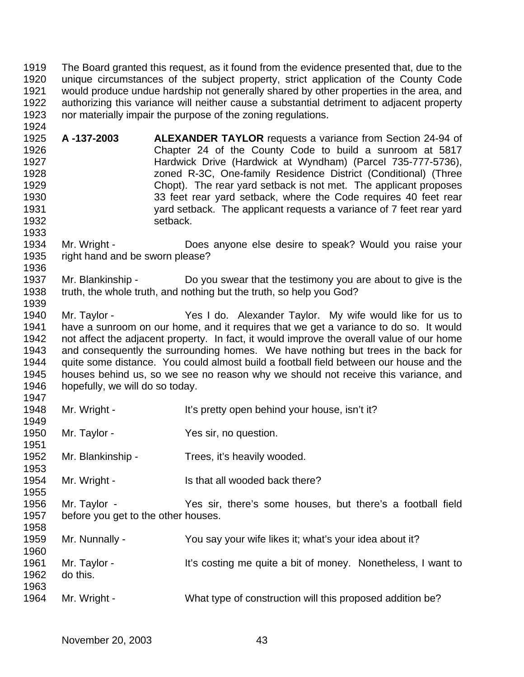The Board granted this request, as it found from the evidence presented that, due to the unique circumstances of the subject property, strict application of the County Code would produce undue hardship not generally shared by other properties in the area, and authorizing this variance will neither cause a substantial detriment to adjacent property nor materially impair the purpose of the zoning regulations.

- **A -137-2003 ALEXANDER TAYLOR** requests a variance from Section 24-94 of Chapter 24 of the County Code to build a sunroom at 5817 Hardwick Drive (Hardwick at Wyndham) (Parcel 735-777-5736), zoned R-3C, One-family Residence District (Conditional) (Three Chopt). The rear yard setback is not met. The applicant proposes 33 feet rear yard setback, where the Code requires 40 feet rear yard setback. The applicant requests a variance of 7 feet rear yard **setback**.
- Mr. Wright Does anyone else desire to speak? Would you raise your right hand and be sworn please?
- Mr. Blankinship Do you swear that the testimony you are about to give is the truth, the whole truth, and nothing but the truth, so help you God?
- Mr. Taylor Yes I do. Alexander Taylor. My wife would like for us to have a sunroom on our home, and it requires that we get a variance to do so. It would not affect the adjacent property. In fact, it would improve the overall value of our home and consequently the surrounding homes. We have nothing but trees in the back for quite some distance. You could almost build a football field between our house and the houses behind us, so we see no reason why we should not receive this variance, and hopefully, we will do so today.
- 1948 Mr. Wright It's pretty open behind your house, isn't it? 1950 Mr. Taylor - Yes sir, no question. Mr. Blankinship - Trees, it's heavily wooded. 1954 Mr. Wright - Is that all wooded back there? Mr. Taylor - Yes sir, there's some houses, but there's a football field before you get to the other houses. Mr. Nunnally - You say your wife likes it; what's your idea about it? 1961 Mr. Taylor - It's costing me quite a bit of money. Nonetheless, I want to do this. 1964 Mr. Wright - What type of construction will this proposed addition be?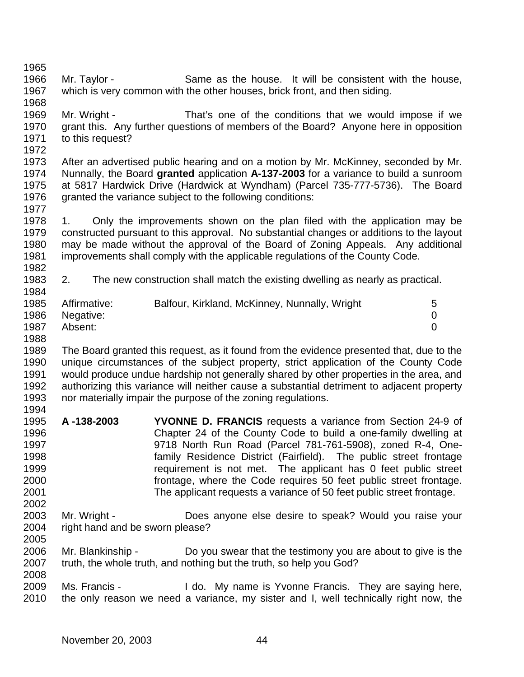Mr. Taylor - Same as the house. It will be consistent with the house, which is very common with the other houses, brick front, and then siding.

 Mr. Wright - That's one of the conditions that we would impose if we grant this. Any further questions of members of the Board? Anyone here in opposition to this request?

 After an advertised public hearing and on a motion by Mr. McKinney, seconded by Mr. Nunnally, the Board **granted** application **A-137-2003** for a variance to build a sunroom at 5817 Hardwick Drive (Hardwick at Wyndham) (Parcel 735-777-5736). The Board granted the variance subject to the following conditions:

 1. Only the improvements shown on the plan filed with the application may be constructed pursuant to this approval. No substantial changes or additions to the layout may be made without the approval of the Board of Zoning Appeals. Any additional improvements shall comply with the applicable regulations of the County Code. 

 2. The new construction shall match the existing dwelling as nearly as practical. 

| 1985 | Affirmative: | Balfour, Kirkland, McKinney, Nunnally, Wright |  |
|------|--------------|-----------------------------------------------|--|
| 1986 | Negative:    |                                               |  |
| 1987 | Absent:      |                                               |  |

 The Board granted this request, as it found from the evidence presented that, due to the unique circumstances of the subject property, strict application of the County Code would produce undue hardship not generally shared by other properties in the area, and authorizing this variance will neither cause a substantial detriment to adjacent property nor materially impair the purpose of the zoning regulations. 

- **A -138-2003 YVONNE D. FRANCIS** requests a variance from Section 24-9 of Chapter 24 of the County Code to build a one-family dwelling at 9718 North Run Road (Parcel 781-761-5908), zoned R-4, One- family Residence District (Fairfield). The public street frontage requirement is not met. The applicant has 0 feet public street frontage, where the Code requires 50 feet public street frontage. The applicant requests a variance of 50 feet public street frontage.
- Mr. Wright Does anyone else desire to speak? Would you raise your 2004 right hand and be sworn please?
- Mr. Blankinship Do you swear that the testimony you are about to give is the truth, the whole truth, and nothing but the truth, so help you God?

 Ms. Francis - I do. My name is Yvonne Francis. They are saying here, the only reason we need a variance, my sister and I, well technically right now, the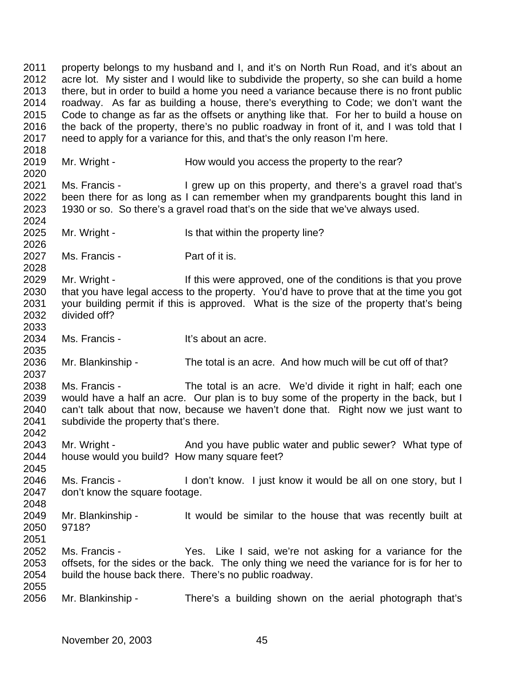property belongs to my husband and I, and it's on North Run Road, and it's about an acre lot. My sister and I would like to subdivide the property, so she can build a home there, but in order to build a home you need a variance because there is no front public roadway. As far as building a house, there's everything to Code; we don't want the Code to change as far as the offsets or anything like that. For her to build a house on the back of the property, there's no public roadway in front of it, and I was told that I need to apply for a variance for this, and that's the only reason I'm here. 2019 Mr. Wright - How would you access the property to the rear? Ms. Francis - I grew up on this property, and there's a gravel road that's been there for as long as I can remember when my grandparents bought this land in 1930 or so. So there's a gravel road that's on the side that we've always used. 2024<br>2025 Mr. Wright - Is that within the property line? Ms. Francis - Part of it is. 2029 Mr. Wright - If this were approved, one of the conditions is that you prove 2030 that you have legal access to the property. You'd have to prove that at the time you got 2031 vour building permit if this is approved. What is the size of the property that's being divided off? Ms. Francis - It's about an acre. Mr. Blankinship - The total is an acre. And how much will be cut off of that? Ms. Francis - The total is an acre. We'd divide it right in half; each one would have a half an acre. Our plan is to buy some of the property in the back, but I can't talk about that now, because we haven't done that. Right now we just want to subdivide the property that's there. 2043 Mr. Wright - And you have public water and public sewer? What type of house would you build? How many square feet? Ms. Francis - I don't know. I just know it would be all on one story, but I don't know the square footage. Mr. Blankinship - It would be similar to the house that was recently built at 9718? Ms. Francis - Yes. Like I said, we're not asking for a variance for the offsets, for the sides or the back. The only thing we need the variance for is for her to build the house back there. There's no public roadway. Mr. Blankinship - There's a building shown on the aerial photograph that's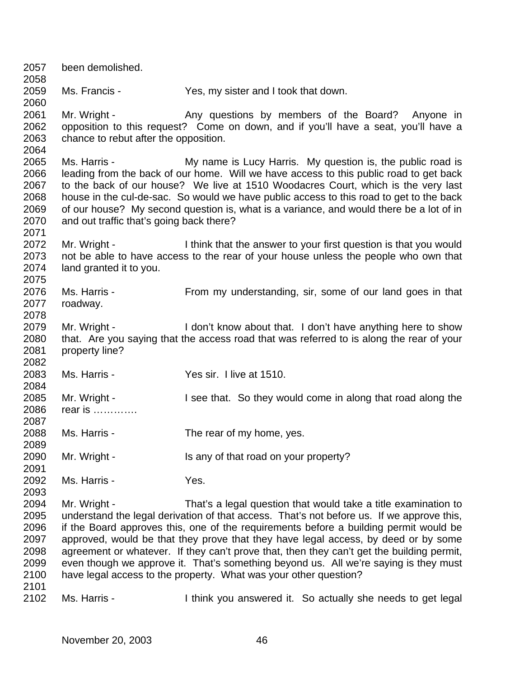been demolished. Ms. Francis - Yes, my sister and I took that down. 2061 Mr. Wright - Any questions by members of the Board? Anyone in opposition to this request? Come on down, and if you'll have a seat, you'll have a chance to rebut after the opposition. Ms. Harris - My name is Lucy Harris. My question is, the public road is leading from the back of our home. Will we have access to this public road to get back to the back of our house? We live at 1510 Woodacres Court, which is the very last house in the cul-de-sac. So would we have public access to this road to get to the back of our house? My second question is, what is a variance, and would there be a lot of in and out traffic that's going back there? 2072 Mr. Wright - I think that the answer to your first question is that you would not be able to have access to the rear of your house unless the people who own that land granted it to you. Ms. Harris - From my understanding, sir, some of our land goes in that roadway. 2079 Mr. Wright - I don't know about that. I don't have anything here to show that. Are you saying that the access road that was referred to is along the rear of your property line? Ms. Harris - Yes sir. I live at 1510. Mr. Wright - I see that. So they would come in along that road along the rear is …………. Ms. Harris - The rear of my home, yes. Mr. Wright - Is any of that road on your property? Ms. Harris - Yes. Mr. Wright - That's a legal question that would take a title examination to understand the legal derivation of that access. That's not before us. If we approve this, if the Board approves this, one of the requirements before a building permit would be approved, would be that they prove that they have legal access, by deed or by some agreement or whatever. If they can't prove that, then they can't get the building permit, even though we approve it. That's something beyond us. All we're saying is they must have legal access to the property. What was your other question? Ms. Harris - I think you answered it. So actually she needs to get legal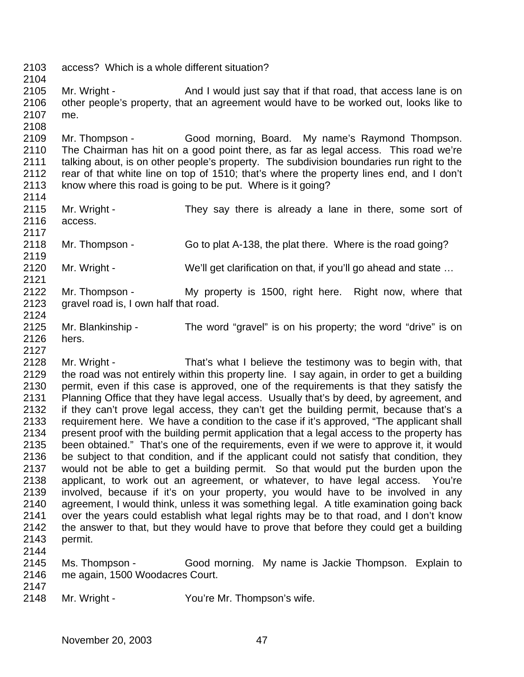access? Which is a whole different situation?

2105 Mr. Wright - And I would just say that if that road, that access lane is on other people's property, that an agreement would have to be worked out, looks like to me.

 Mr. Thompson - Good morning, Board. My name's Raymond Thompson. The Chairman has hit on a good point there, as far as legal access. This road we're talking about, is on other people's property. The subdivision boundaries run right to the rear of that white line on top of 1510; that's where the property lines end, and I don't know where this road is going to be put. Where is it going? 

- 2115 Mr. Wright They say there is already a lane in there, some sort of access.
- Mr. Thompson Go to plat A-138, the plat there. Where is the road going?
- 2120 Mr. Wright We'll get clarification on that, if you'll go ahead and state ...
- Mr. Thompson My property is 1500, right here. Right now, where that gravel road is, I own half that road.
- Mr. Blankinship The word "gravel" is on his property; the word "drive" is on hers.

 Mr. Wright - That's what I believe the testimony was to begin with, that the road was not entirely within this property line. I say again, in order to get a building permit, even if this case is approved, one of the requirements is that they satisfy the Planning Office that they have legal access. Usually that's by deed, by agreement, and if they can't prove legal access, they can't get the building permit, because that's a requirement here. We have a condition to the case if it's approved, "The applicant shall present proof with the building permit application that a legal access to the property has been obtained." That's one of the requirements, even if we were to approve it, it would be subject to that condition, and if the applicant could not satisfy that condition, they would not be able to get a building permit. So that would put the burden upon the applicant, to work out an agreement, or whatever, to have legal access. You're involved, because if it's on your property, you would have to be involved in any agreement, I would think, unless it was something legal. A title examination going back over the years could establish what legal rights may be to that road, and I don't know the answer to that, but they would have to prove that before they could get a building permit.

- Ms. Thompson Good morning. My name is Jackie Thompson. Explain to me again, 1500 Woodacres Court.
- 

Mr. Wright - You're Mr. Thompson's wife.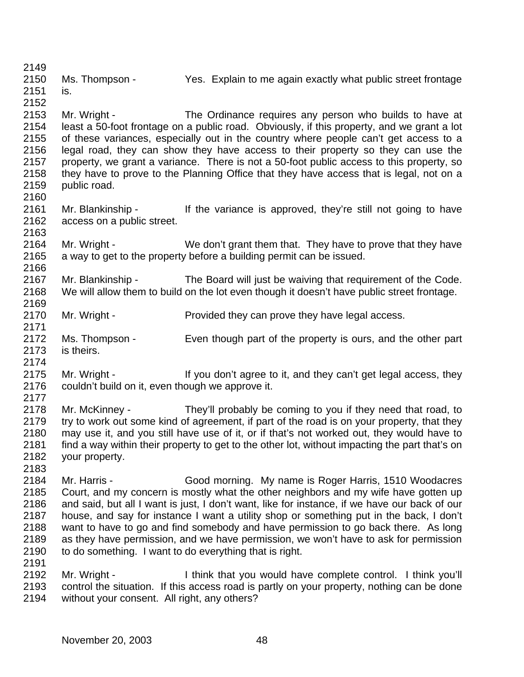Ms. Thompson - Yes. Explain to me again exactly what public street frontage

 is. 

 Mr. Wright - The Ordinance requires any person who builds to have at least a 50-foot frontage on a public road. Obviously, if this property, and we grant a lot of these variances, especially out in the country where people can't get access to a legal road, they can show they have access to their property so they can use the property, we grant a variance. There is not a 50-foot public access to this property, so they have to prove to the Planning Office that they have access that is legal, not on a public road.

- Mr. Blankinship If the variance is approved, they're still not going to have access on a public street.
- Mr. Wright We don't grant them that. They have to prove that they have a way to get to the property before a building permit can be issued.
- Mr. Blankinship The Board will just be waiving that requirement of the Code. We will allow them to build on the lot even though it doesn't have public street frontage.
- Mr. Wright Provided they can prove they have legal access.
- 2172 Ms. Thompson Even though part of the property is ours, and the other part is theirs.
- - 2175 Mr. Wright If you don't agree to it, and they can't get legal access, they couldn't build on it, even though we approve it.
	- 2177<br>2178 Mr. McKinney - They'll probably be coming to you if they need that road, to 2179 try to work out some kind of agreement, if part of the road is on your property, that they may use it, and you still have use of it, or if that's not worked out, they would have to find a way within their property to get to the other lot, without impacting the part that's on your property.
	- Mr. Harris Good morning. My name is Roger Harris, 1510 Woodacres Court, and my concern is mostly what the other neighbors and my wife have gotten up and said, but all I want is just, I don't want, like for instance, if we have our back of our house, and say for instance I want a utility shop or something put in the back, I don't want to have to go and find somebody and have permission to go back there. As long as they have permission, and we have permission, we won't have to ask for permission to do something. I want to do everything that is right.
	- Mr. Wright I think that you would have complete control. I think you'll control the situation. If this access road is partly on your property, nothing can be done without your consent. All right, any others?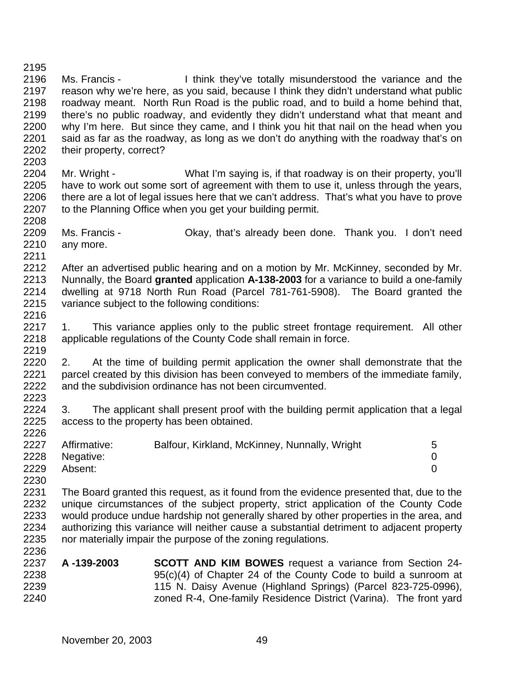Ms. Francis - I think they've totally misunderstood the variance and the reason why we're here, as you said, because I think they didn't understand what public roadway meant. North Run Road is the public road, and to build a home behind that, there's no public roadway, and evidently they didn't understand what that meant and why I'm here. But since they came, and I think you hit that nail on the head when you said as far as the roadway, as long as we don't do anything with the roadway that's on their property, correct? Mr. Wright - What I'm saying is, if that roadway is on their property, you'll have to work out some sort of agreement with them to use it, unless through the years, there are a lot of legal issues here that we can't address. That's what you have to prove 2207 to the Planning Office when you get your building permit. Ms. Francis - Okay, that's already been done. Thank you. I don't need any more. After an advertised public hearing and on a motion by Mr. McKinney, seconded by Mr. Nunnally, the Board **granted** application **A-138-2003** for a variance to build a one-family dwelling at 9718 North Run Road (Parcel 781-761-5908). The Board granted the variance subject to the following conditions: 2217 1. This variance applies only to the public street frontage requirement. All other applicable regulations of the County Code shall remain in force. 2220 2. At the time of building permit application the owner shall demonstrate that the parcel created by this division has been conveyed to members of the immediate family, and the subdivision ordinance has not been circumvented. 3. The applicant shall present proof with the building permit application that a legal access to the property has been obtained. 2227 Affirmative: Balfour, Kirkland, McKinney, Nunnally, Wright 5 Negative: 0 Absent: 0 The Board granted this request, as it found from the evidence presented that, due to the unique circumstances of the subject property, strict application of the County Code would produce undue hardship not generally shared by other properties in the area, and authorizing this variance will neither cause a substantial detriment to adjacent property nor materially impair the purpose of the zoning regulations. **A -139-2003 SCOTT AND KIM BOWES** request a variance from Section 24- 95(c)(4) of Chapter 24 of the County Code to build a sunroom at 115 N. Daisy Avenue (Highland Springs) (Parcel 823-725-0996), zoned R-4, One-family Residence District (Varina). The front yard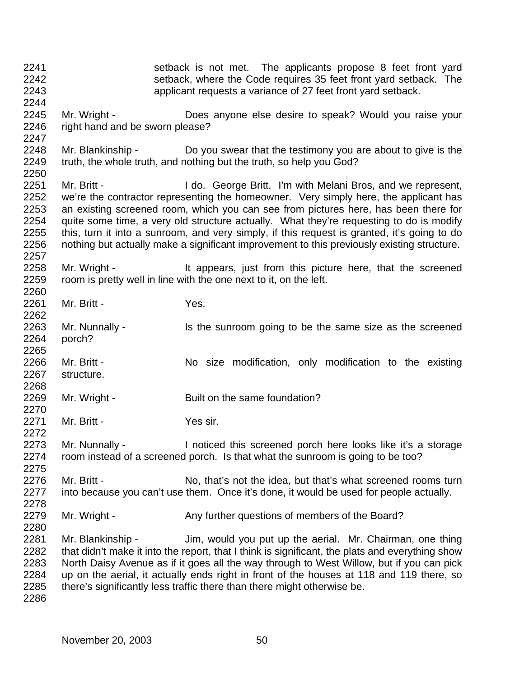setback is not met. The applicants propose 8 feet front yard setback, where the Code requires 35 feet front yard setback. The applicant requests a variance of 27 feet front yard setback. Mr. Wright - Does anyone else desire to speak? Would you raise your 2246 right hand and be sworn please? Mr. Blankinship - Do you swear that the testimony you are about to give is the truth, the whole truth, and nothing but the truth, so help you God? 2251 Mr. Britt - I do. George Britt. I'm with Melani Bros, and we represent, we're the contractor representing the homeowner. Very simply here, the applicant has an existing screened room, which you can see from pictures here, has been there for quite some time, a very old structure actually. What they're requesting to do is modify this, turn it into a sunroom, and very simply, if this request is granted, it's going to do nothing but actually make a significant improvement to this previously existing structure. 2258 Mr. Wright - It appears, just from this picture here, that the screened room is pretty well in line with the one next to it, on the left. Mr. Britt - Yes. 2263 Mr. Nunnally - Is the sunroom going to be the same size as the screened porch? Mr. Britt - No size modification, only modification to the existing structure. 2269 Mr. Wright - Built on the same foundation? 2271 Mr. Britt - Yes sir. 2273 Mr. Nunnally - Inoticed this screened porch here looks like it's a storage room instead of a screened porch. Is that what the sunroom is going to be too? 2276 Mr. Britt - No, that's not the idea, but that's what screened rooms turn into because you can't use them. Once it's done, it would be used for people actually. 2279 Mr. Wright - Any further questions of members of the Board? Mr. Blankinship - Jim, would you put up the aerial. Mr. Chairman, one thing 2282 that didn't make it into the report, that I think is significant, the plats and everything show North Daisy Avenue as if it goes all the way through to West Willow, but if you can pick up on the aerial, it actually ends right in front of the houses at 118 and 119 there, so there's significantly less traffic there than there might otherwise be.